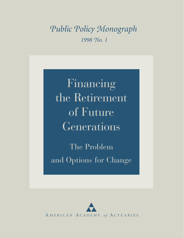# *Public Policy Monograph 1998 No. 1*

Financing the Retirement of Future Generations

The Problem and Options for Change

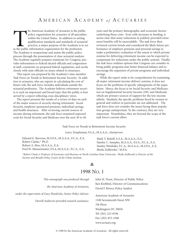The American Academy of Actuaries is the public<br>policy organization for actuaries of all specialtie<br>within the United States. In addition to setting<br>qualification standards and standards of actuari<br>practice, a major purpos policy organization for actuaries of all specialties within the United States. In addition to setting qualification standards and standards of actuarial practice, a major purpose of the Academy is to act The Academy is nonpartisan and assists the public policy process through the presentation of clear actuarial analysis. The Academy regularly prepares testimony for Congress, provides information to federal elected officials and congressional staff, comments on proposed federal regulations, and works closely with state officials on issues related to insurance.

This report was prepared by the Academy's nine-member Task Force on Trends in Retirement Income Security. In addition to actuaries, who are experts in calculating the cost of future risk, the task force includes individuals outside the actuarial profession. The Academy believes retirement security is such an important and broad topic that the public is best served by a report reflecting cross-disciplinary views.

The report presents the results of a review of data on each of the major sources of security during retirement: Social Security, employer-sponsored pensions, individual savings, and health insurance. After reviewing current sources of income during retirement, the task force examined expected costs for Social Security and Medicare over the next 30 to 40

years and the primary demographic and economic factors underlying those costs. Even with increases in funding, it seems clear that some reductions in publicly provided retirement benefits will be unavoidable. The task force then reviewed current trends and considered the likely future performance of employer pensions and personal savings to make a preliminary evaluation of the extent to which private systems for delivering retirement income can be expected to compensate for reductions under the public systems. Finally, the task force outlines options that Congress can consider to bring public programs into better financial balance and to encourage the expansion of private programs and individual savings.

While the report seeks to be comprehensive by examining all major retirement income delivery systems, it does not focus on the problems of specific subsegments of the population. Hence, the focus is on Social Security and Medicare, not on Supplemental Security Income (SSI) and Medicaid, which are primary sources of support for the low-income elderly. Similarly, the specific problems faced by women in general and widows in particular are not addressed. The task force does not consider the issues facing these population groups unimportant. To the contrary, they are very important. Nonetheless, they are beyond the scope of the task force's current effort.

Task Force on Trends in Retirement Income Security

Larry Zimpleman, F.S.A., M.A.A.A., *chairperson*

Edward E. Burrows, M.S.P.A., M.A.A.A., F.C.A., E.A. Robert Clarke,\* Ph.D. Robert A. Moe, M.A.A.A., E.A. Fred W. Munzenmaier, F.S.A.,M.A.A.A., F.C.A., E.A.

Mark T. Ruloff, A.S.A., M.A.A.A., E.A. Stanley C. Samples, M.A.A.A., F.S.A., F.C.A., E.A. Stanley Weisleder, F.C.A., M.A.A.A., M.S.P.A., E.A. Sheila Zedlewski,\* M.P.A.

*\*Robert Clarke is Professor of Economics and Business at North Carolina State University. Sheila Zedlewski is Director of the Income and Benefits Policy Center of the Urban Institute.*

## A 1998 NO. 1

| This monograph was produced through                             | John H. Trout, Director of Public Policy                                    |
|-----------------------------------------------------------------|-----------------------------------------------------------------------------|
| the American Academy of Actuaries,                              | Ken Krehbiel, Director of Communications<br>David F. Rivera, Policy Analyst |
| under the supervision of Gary Hendricks, Senior Policy Adviser. | American Academy of Actuaries                                               |
| Darrell Anderson provided research assistance.                  | 1100 Seventeenth Street NW                                                  |
|                                                                 | 7th Floor                                                                   |
|                                                                 | Washington DC 20036                                                         |
|                                                                 | Tel (202) 223-8196                                                          |
|                                                                 | Fax (202) 872-1948                                                          |
|                                                                 | www.actuary.org                                                             |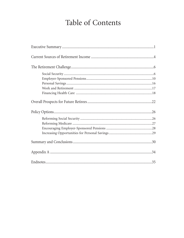# Table of Contents

| 35 |
|----|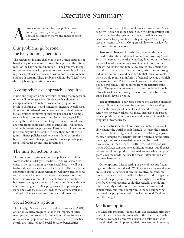# Executive Summary



## Our problems go beyond the baby boom generation

The retirement income challenge in the United States is not based solely on changing demographics (such as the retirement of the baby boom generation). The problems facing our retirement security systems are also the result of increasing life expectancies, which add cost to both our retirement and health systems. These problems will not be "fixed" when the baby boom generation goes away.

## A comprehensive approach is required

Fixing one program or policy while ignoring the impacts on others will no longer work. Experience has shown that changes intended to reduce costs in one program often result in shifting costs and sometimes increase overall costs. If consumption-based taxes encourage individual savings but discourage employer-sponsored pensions, for example, total savings for retirement could be reduced, especially among the middle class. Similarly, cutbacks in social insurance programs could shift costs to employers, individuals, and public assistance programs. Raising payroll taxes in one program may limit the ability to raise them for other programs. Hence policies need to be considered across the board, including public programs, tax policy, private pensions, individual savings, and investments.

## The time for action is now

The problems in retirement income policies can only get worse if action is delayed. Medicare costs will exceed revenues in 10 years, and in 15 years Social Security will begin to draw down its reserves to cover benefits. The baby boom generation about to enter retirement will have greater needs for retirement income than the previous generation, but fewer resources to meet its needs. Individuals, families, businesses, and governments will need considerable time to adjust to changes in public programs and in private pensions and savings. Delay will reduce the options available and make changes more controversial and disruptive.

## Social Security options

The Old-Age, Survivors, and Disability Insurance (OASDI), or Social Security, program is the most important retirement protection program for Americans. Over 90 percent of the over-65 population receives Social Security benefits. Nearly two-thirds of aged Social Security beneficiaries

receive half or more of their total money income from Social Security. Actuaries at the Social Security Administration estimate that unless the system is changed, it will have insufficient income to pay full benefits beginning in 2029. To protect the system's solvency, Congress will have to consider farreaching options for reform.

**Structural changes.** Privatization, whether through defined contribution individual accounts or investing Social Security reserves in the private market, does not in itself solve the problem of maintaining current benefit levels, and it exposes individuals and families to greater investment risks than the current system. Furthermore, privatization through individual accounts could have substantial transition costs, which would require an infusion of general revenue or a higher payroll tax rate. Privatization, however desirable from a policy perspective, is not required from an actuarial standpoint. The system as currently structured could be brought into actuarial balance through one or more adjustments in taxes, benefit levels, or both.

**Tax adjustments.** Four basic options are available: increase the payroll tax rate, increase the limit on taxable earnings, increase the taxation of benefits, and extend coverage to currently noncovered workers. Of these, increasing the payroll tax can produce the most revenue and be timed to match the program's income needs.

**Benefit adjustments.** Three principal options are available: change the initial benefit formula, increase the normal and early retirement ages, and reduce cost-of-living adjustments. Changing the benefit formula or increasing the retirement age can produce needed savings and be timed to produce revenues when needed. Cutting cost-of-living adjustments (COLAs) can produce significant savings, but, if enacted now, would not produce increased savings when the program's income needs increase the most—after all the baby boomers have retired.

**Other options.** Means testing or general revenue financing could also be considered. While means testing could generate substantial savings, it creates incentives to consume more or reduce assets to qualify for benefits and changes the nature of the program from an "earned right" to a welfare benefit. General revenues could theoretically provide any level of subsidy needed to balance program income and expenditures, but would compromise the self-supporting nature of the program as well as make it more difficult to balance the budget.

## Medicare options

The Medicare program (HI and SMI) was designed primarily to meet the acute health care needs of the elderly. Virtually everyone over age 65 receives subsidized health insurance through Medicare. At present, Medicare spending is growing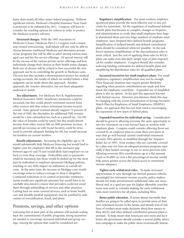faster than nearly all other major federal programs. Without significant reform, Medicare's Hospital Insurance Trust Fund is projected to be exhausted by 2011. Congress will have to consider far-reaching options for reform in order to protect the Medicare system's solvency.

**Structural changes.** With the 1997 enactment of Medicare+Choice (Medicare Part C), Congress took a major step toward restructuring. Individuals will not only be able to choose between traditional Medicare and alternative privatesector programs but will be able to select among various managed care and fee-for-service offerings. Of special interest will be the success of the various private-sector offerings and how individuals change their choices as their health status changes. Both sets of choices will be critical to how successful the new approach can be in controlling the growth in Medicare costs. The new law also includes a demonstration project for medical savings accounts, the results of which are needed before a final judgment can be made about this approach. Another approach, the voucher alternative, has not been adequately analyzed or tested.

**Tax adjustments.** For Medicare Part B, Supplementary Medical Insurance (SMI), beneficiary premiums could be increased, but this would absorb retirement income from other sources and thus reduce retirement income security overall. Since general revenues already support 75 percent of the cost of SMI, the alternative for additional SMI revenue would be a new earmarked tax, such as a payroll tax. For HI, the value of benefits could be taxed, but this would absorb income from other sources like an SMI premium increase. A payroll tax increase, as with Social Security, could be structured to provide adequate funding for HI, but would increase tax burdens on current workers.

**Benefit adjustments.** Increasing the eligibility age to 70 would substantially help Medicare financing but would lead to higher costs for employers that fill in the insurance gap between ages 65 and 70 and would likely lead employers to cut back or even drop coverage. Deductibles and co-payments could be increased, but those would be picked up for the most part by individual or employer-sponsored Medigap policies, resulting in very little impact on utilization or overall net costs. At the same time, the increase in Medigap costs would encourage some to reduce coverage or drop it altogether. Continued reductions in or control of provider reimbursements would save significant amounts but would have to be carefully structured to ensure that providers could not avoid them through unbundling of services and other practices. Cutting back on some covered services, such as home health care and durable medical equipment, may be justified by indications of overutilization, fraud, and abuse.

## Pensions, savings, and other options

Assuming that at least part of the solution will include scaling back the commitments of public programs, strong incentives are needed to encourage increased individual and group savings. Among the options that could be considered are:

**Regulatory simplification**. For most workers, employersponsored plans provide the most effective way to save privately for retirement. Yet the regulation of traditional defined benefit plans has become so complex, changes so frequent, and administration so costly that small employers have largely abandoned them and very large numbers of medium-sized employers have dropped their defined benefit programs. Simplification of defined benefit and defined contribution plans should be considered wherever possible. In the task force's opinion, simplification of the discrimination rules is most critical. Just the cost of applying these rules to 401(k) plans can make even this fairly simple type of plan impractical for smaller employers. Congress should also consider reducing funding constraints for defined benefit plans and simplifying the distribution rules for all qualified plans.

**Increased incentives for small employer plans.** For small employers, regulatory simplification may not be enough. Their financial situation may require greater flexibility regarding when pension contributions are made and how much the employers contribute. Expanded use of simplified plans is also an option. In the past this approach has met with limited success. However, practitioners think this may be changing with the recent introduction of Savings Incentive Match Plan for Employees of Small Employers (SIMPLE) plans. An approach that has not been tried is encouraging the expansion of new types of hybrid plans.

**Expanded incentives for individual saving.** Consideration should be given to allowing everyone the same opportunity to save for retirement on a tax-favored basis as workers with employer plans. Congress could consider allowing those not covered by an employer plan to create their own plans in ways that go well beyond current (individual retirement account) IRA options, as modified through the Taxpayer Relief Act of 1997. Even workers who are currently covered by a plan may not have an adequate pension program, especially if they lacked coverage in one or more previous jobs. Allowing everyone IRA contributions up to a flat amount (such as \$5,000) or even a flat percentage of income would help assure greater across-the-board access to retirement income adequacy.

**Tighter early withdrawal rules.** To make increased opportunities to save through tax-favored pension vehicles meaningful for retirement income security, policy makers should not make preretirement withdrawal rules any more liberal and, as a quid pro quo for higher allowable contributions, may want to consider making the early withdrawal rules more restrictive for all plans, including IRAs.

**Better public education.** It seems almost inevitable that families are going to be called upon to provide more of their own retirement income in the future, and already tens of millions of workers must make decisions about how money in their 401(k) and other defined contribution pension plans is invested. To help ensure that Americans save more and do it better, the government should consider a serious public education campaign to make the public more economically literate.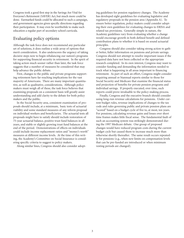Congress took a good first step in the Savings Are Vital for Everyone's Retirement (SAVER) Act, but much more could be done. Earmarked funds could be allocated to such a campaign, and government agencies given specific directions regarding their participation. It may even be worthwhile to make such education a regular part of secondary school curricula.

## Evaluating policy options

Although the task force does not recommend any particular set of solutions, it does outline a wide array of options that merit consideration. It also underscores the urgency of taking decisive steps now to begin rebalancing our nation's programs for supporting financial security in retirement. In the spirit of taking action much sooner rather than later, the task force suggests that a number of measures be considered that may help advance the public debate.

First, changes to the public and private programs supporting retirement have far-reaching implications for the vast majority of Americans. There are many important quantitative, as well as qualitative, considerations. Although policy makers must weigh all of these, the task force believes that examining proposals on a consistent basis will greatly assist understanding and add clarity to the debate for both policy makers and the public.

In the Social Security area, consistent examination of proposals should include, at a minimum, basic tests of actuarial viability and some standard measures of any reform proposal on individual workers and beneficiaries. The actuarial tests all proposals might have to satisfy should include restoration of 75-year actuarial balance, positive trust fund balances in all years, and stable or slightly growing trust fund balances at the end of the period. Demonstrations of effects on individuals could include income replacement ratios and "money's worth" measures at different income levels. At the time of this writing, the Academy's Committee on Social Insurance is considering specific criteria to suggest to policy makers.

Along similar lines, Congress should also consider adopt-

ing guidelines for pension regulatory changes. The Academy has developed eight guidelines for evaluating legislative and regulatory proposals in the pension area (Appendix A). To ensure better regulation, policy makers could consider adopting their own guidelines for evaluating changes to ERISA and related tax provisions. Generally simple in nature, the Academy guidelines vary from evaluating whether a change would encourage growth in both defined benefit and defined contribution plans to whether it is based on sound actuarial principles.

Congress should also consider taking strong action to gather better, fuller information on pensions and private savings. Congress should not attempt to resolve important issues if the required data have not been collected or the appropriate research completed. In its own interest, Congress may want to consider funding and demanding the information needed to track what is happening in all areas important to financing retirement. As part of such an effort, Congress might consider requiring annual or biannual reports similar to those for Social Security and Medicare that examine the financial status and projection of benefits for private pension programs and individual savings. If properly executed, over time, such reports could prove invaluable to the policy-making process.

Finally, Congress and the executive branch should consider using long-run revenue calculations for pensions. Under current budget rules, revenue implications of changes to the tax code and rules governing public and private pension plans are "scored" based on a budget cycle of five to, at most, ten years. For pensions, calculating revenue gains and losses over short time frames makes little fiscal sense. The fundamental fault of such an accounting system was strikingly demonstrated during the 1997 Medicare debate. One group of proposed changes would have reduced program costs during the current budget cycle but caused them to increase much more than otherwise shortly thereafter. The same result occurs repeatedly for pensions (e.g., when new limits on compensation levels that can be pre-funded are introduced or when minimum vesting periods are changed).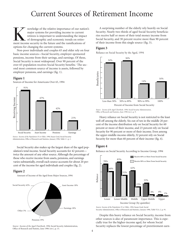# Current Sources of Retirement Income

The major systems for providing income to current<br>ment retirees is important to understanding the impact<br>of demographic and economic trends on retire-<br>ment income security in the future and the ramifications of major systems for providing income to current retirees is important to understanding the impact of demographic and economic trends on retireoptions for changing the current systems.

Non-poor individuals and couples 65 and older rely on four basic income sources—Social Security, employer-sponsored pensions, income from their savings, and earnings. Of these, Social Security is most widespread. Over 90 percent of the over-65 population receives Social Security benefits.<sup>1</sup> The second most common source of income is assets, followed by employer pensions, and earnings (fig. 1).

## **Figure 1**

Sources of Income for Americans Over 65, 1994



*Source: Income of the Population 55 or Older, 1994*, Susan Grad, Social Security Administration, Office of Research and Statistics, January 1996, Table I. 1, p. 1.

Social Security also makes up the largest share of the aged population's total income. Social Security accounts for 42 percent twice the amount of any other source. Although the percentage of those who receive income from assets, pensions, and earnings varies substantially, overall each source accounts for about 20 percent of the income for aged individuals and couples (fig. 2).

## **Figure 2**

Amount of Income of the Aged from Major Sources, 1994



*Source: Income of the Aged Chartbook, 1994,* Social Security Administration, Office of Research and Statistic, June 1996 (rev.), p. 15.

A surprising number of the elderly rely heavily on Social Security. Nearly two-thirds of aged Social Security beneficiaries receive half or more of their total money income from Social Security, and 30 percent receive more than 90 percent of their income from this single source (fig. 3).

## **Figure 3**

Reliance on Social Security by the Aged, 1994



*Source: Income of the Aged Chartbook, 1994*, Social Security Administration, Office of Research and Statistics, June 1996 (rev.), p. 9.

Heavy reliance on Social Security is not restricted to the least well off among the elderly. Six out of ten in the middle 20 percent of the income distribution rely on Social Security for 60 percent or more of their income, and 23 percent rely on Social Security for 90 percent or more of their income. Even among the upper-middle-income elderly, 32 percent rely on Social Security for more than 60 percent of their income (fig. 4).

## **Figure 4**

Reliance on Social Security According to Income Group, 1994



*Source: Income of the Population 55 or Older, 1994*, Susan Grad, Social Security Administration, Office of Research and Statistics, January 1996, Table VI.A. 2, p. 91.

Despite this heavy reliance on Social Security, income from other sources is also of paramount importance. This is especially true for the higher-income aged, for whom Social Security replaces the lowest percentage of preretirement earn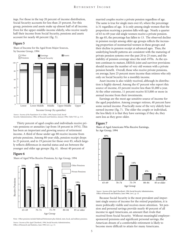ings. For those in the top 20 percent of income distribution, Social Security accounts for less than 25 percent. For this group, pensions and assets make up almost half of all income. Even for the upper-middle-income elderly, who receive nearly half their income from Social Security, pensions and assets account for nearly 40 percent (fig. 5).

#### **Figure 5**

Share of Income for the Aged from Major Sources, by Income Group, 1994



*Source: Income of the Population 55 or Older, 1994*, Susan Grad, Social Security Administration, Office of Research and Statistics, January 1996, Table VII.5, p. 113.

Thirty percent of aged couples and individuals receive private pensions or annuities (up from 18 percent in 1974). This has been an important and growing source of retirement income. A third of those under age 80 receive income from private pensions. Among 80-year-olds, pension receipt drops to 25 percent, and to 19 percent for those over 85, which largely reflects differences in marital status and sex between the younger and older age groups (fig. 6). About 40 percent of

## **Figure 6**

Share of Aged Who Receive Pensions, by Age Group, 1994



Note: Other pensions include Railroad Retirement plus federal, state, local, and military pensions.

*Source: Income of the Aged Chartbook, 1994*, Social Security Administration, Office of Research and Statistics, June 1996 (rev.), p. 13.

married couples receive a private pension regardless of age. The same is true for single men over 65, where the percentage is 31 regardless of age. It is only among single women that the proportion receiving a pension falls with age. Nearly a quarter of 65-to-69-year-old single women receive a private pension. By age 85, the percentage has fallen to 13. The observed decline in pension receipt among older age groups reflects the increasing proportion of nonmarried women in these groups and their decline in pension receipt at advanced ages. Thus, the underlying benefit patterns are consistent with the maturing of private pension systems over the past 20 to 25 years, and the stability of pension coverage since the mid-1970s. As the system continues to mature, ERISA's joint and survivor provisions should increase the number of very old women with a private pension benefit. Overall, those who receive private pensions, on average, have 25 percent more income than retirees who rely only on Social Security for a monthly income.

Asset income is also widely received, although its distribution is highly skewed. Among the 67 percent who report this source of income, 45 percent receive less than \$1,000 a year. At the other extreme, 11 percent receive \$15,000 or more in annual income from their investments.

Earnings are the most age-sensitive source of income for the aged population. Among younger retirees, 40 percent have some earned income. Practically none of the very elderly have earned income (fig. 7). The older the couple or individual, the less likely it is that they have earnings; if they do, they earn less as they grow older.

## **Figure 7**





*Source: Income of the Aged Chartbook, 1994*, Social Security Administration, Office of Research and Statistics, June 1996, (rev.), p. 13.

Because Social Security is the most prevalent and important single source of income for the retired population, it is more politically visible and receives more attention. Yet pension and personal savings provide nearly 40 percent of all income to aged Americans, an amount that rivals that received from Social Security. Without meaningful employersponsored pensions and significant personal savings, the American dream of a comfortable retirement is likely to become more difficult to attain for many Americans.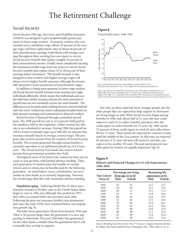# The Retirement Challenge

## Social Security

Social Security Old-Age, Survivors, and Disability Insurance (OASDI) was designed to give proportionally greater payments to lower-wage workers. At present, workers who consistently earn a minimum wage (about 45 percent of the average wage) will have replacement rates of about 60 percent of their preretirement earnings. Individuals with average earnings throughout their working lives can expect to receive Social Security benefits that replace roughly 43 percent of their preretirement income. Finally, those consistently earning the maximum taxable wage level can expect to receive Social Security benefits that replace about 25 to 28 percent of their earnings before retirement.<sup>2</sup> The benefit formula is also designed so that workers with higher average wages will always receive higher benefit amounts, although the income still represents a lesser proportion of preretirement wages.

In addition to being more generous to lower-wage workers, the Social Security benefit formula treats married and single individuals differently, which means that individuals and couples that have similar incomes and pay the same amounts of payroll taxes do not necessarily receive the same benefits. The differences can be particularly striking between married individuals who never worked but receive substantial benefits based on their spouses' earnings, and nonmarried or divorced workers.

Social Security is financed through earmarked payroll taxes. The 1998 payroll tax rate is 12.4 percent (half paid by the employer, half by the employee). Under current law, this rate is not scheduled to increase. During 1998, the payroll tax will be levied on annual wages up to \$68,400, an amount that increases annually based on average covered wages. The program also receives income from the taxation of Social Security benefits. The revenue generated through taxing benefits is currently equivalent to an additional payroll tax of 0.23 percent.3 The Social Security trust funds also receive interest income from government securities they hold.

Throughout most of its history the system has been run on a pay-as-you-go basis, with limited advance funding. Thus, each generation of workers pays the benefits of current retirees and, in return, has its benefits paid by the following generation. As noted below, excess contributions can accumulate in trust funds, as is currently happening. However, few would argue that this truly constitutes advance funding.

**Population aging.** Following World War II, there was a dramatic increase in fertility rates in the United States. Rates began to soar in 1946 and, although they peaked in 1957, their effect on annual birth rates persisted until 1964. Following the post-war increases, fertility rates plummeted and, since the early 1970s, have remained below zero population growth (fig. 8).

The baby boom generation (those born between 1946 and 1964) is 50 percent larger than the generation it is now supporting in retirement. The post-1964 baby bust generation, on the other hand, is smaller than the generation that it will eventually have to help to support.

## **Figure 8**

Total Fertility Rates, 1940–1995



Felicitie Bell, Alice Wade, and Stephen Goss, U.S. Department of Health and Human Services, August 1992, Table 3, p. 3. Rates after 1991 are from the 1997 Annual Report of the Board of Trustees of the Federal Old-Age and Survivors Insurance and Disability Insurance Trust Funds, Table II.D2, p. 63.

Not only are there relatively fewer younger people, but the older people they are expected to help support in retirement are living longer as well. When Social Security began paying benefits in 1940, only about half of 21-year-old men could expect to reach 65 to collect benefits, and those who did could expect to collect benefits for 12 years. By 1990, nearly 75 percent of them could expect to reach 65 and collect benefits for 15 years. These trends are expected to continue at least until the middle of the 21st century. At that time, an expected 83 percent of 21-year-old men will reach 65, and they can expect to live another 18 years. The past and projected mortality gains for women are equally impressive (fig. 9).

## **Figure 9**

| Historic and Projected Changes in U.S. Life Expectancies, |  |  |
|-----------------------------------------------------------|--|--|
| 1940–2050                                                 |  |  |

| <b>Year Cohort</b><br>Turns <sub>65</sub> | Male | Percentage surviving<br>from age 21 to $65$<br>Female | expectancy at 65<br>Male | <b>Remaining life</b><br>Female |
|-------------------------------------------|------|-------------------------------------------------------|--------------------------|---------------------------------|
| 1940                                      | 54   | 61                                                    | 12.7                     | 14.7                            |
| 1950                                      | 56   | 65                                                    | 13.1                     | 16.2                            |
| 1960                                      | 60   | 71                                                    | 13.2                     | 17.4                            |
| 1970                                      | 64   | 77                                                    | 13.8                     | 18.6                            |
| 1980                                      | 68   | 81                                                    | 14.6                     | 19.1                            |
| 1990                                      | 72   | 84                                                    | 15.3                     | 19.6                            |
| 2000                                      | 76   | 85                                                    | 15.8                     | 20.1                            |
| 2010                                      | 78   | 87                                                    | 16.3                     | 20.5                            |
| 2020                                      | 79   | 88                                                    | 16.8                     | 21.0                            |
| 2030                                      | 80   | 89                                                    | 17.2                     | 21.5                            |
| 2040                                      | 82   | 89                                                    | 17.6                     | 22.0                            |
| 2050                                      | 83   | 90                                                    | 18.0                     | 22.4                            |

*Source: Retooling Social Security for the 21st Century*, C. Eugene Steuerle and Jon M. Bakija, The Urban Institute Press, Washington, D.C., 1994, Table 3.2, p. 41.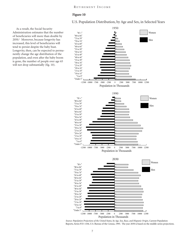## **Figure 10**

U.S. Population Distribution, by Age and Sex, in Selected Years

As a result, the Social Security Administration estimates that the number of beneficiaries will more than double by 2050.4 Moreover, because longevity has increased, this level of beneficiaries will tend to persist despite the baby bust. Longevity, then, can be expected to permanently change the age distribution of the population, and even after the baby boom is gone, the number of people over age 65 will not drop substantially (fig. 10).



*Source: Population Projections of the United States, by Age, Sex, Race, and Hispanic Origin*, Current Population Reports, Series P25-1104, U.S. Bureau of the Census, 1993. The year 2030 is based on the middle-series projections.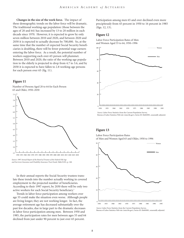**Changes in the size of the work force.** The impact of these demographic trends on the labor force will be dramatic. The traditional working-age population (those between the ages of 20 and 64) has increased by 13 to 20 million in each decade since 1970. However, it is expected to grow by only seven million between 2010 and 2020, and between 2020 and 2030 it is expected to actually decrease by 700,000. So, at the same time that the number of expected Social Security beneficiaries is doubling, there will be fewer potential wage earners entering the labor force. As a result, the potential number of workers supporting each over-65 person will plummet. Between 2010 and 2020, the ratio of the working-age population to the elderly is projected to drop from 4.7 to 3.6, and by 2030 it is expected to have fallen to 2.8 working-age persons for each person over 65 (fig. 11).

#### **Figure 11**

Number of Persons Aged 20 to 64 for Each Person 65 and Older, 1950–2030





In their annual reports the Social Security trustees translate these trends into the number actually working in covered employment to the projected number of beneficiaries. According to their 1997 report, by 2030 there will be only two active workers for each Social Security beneficiary.<sup>5</sup>

Trends in labor force participation among workers over age 55 could make the situation even worse. Although people are living longer, they are not working longer. In fact, the average retirement age has decreased substantially over the past few decades, due in large part to the dramatic decreases in labor force participation among men. Between 1950 and 1985, the participation rates for men between ages 55 and 64 declined from just under 90 percent to just over 65 percent.

Participation among men 65 and over declined even more precipitously from 45 percent in 1950 to 16 percent in 1985 (figs. 12, 13).

#### **Figure 12**

Labor Force Participation Rates of Men and Women Aged 55 to 64, 1950–1996



*Source:* Labor Force Statistics from the Current Population Survey, Bureau of Labor Statistics Web site (stats.bls.gov), Series ID: lfs604901, seasonally adjusted.

### **Figure 13**

Labor Force Participation Rates of Men and Women Aged 65 and Older, 1950 to 1996



Bureau of Labor Statistics Web site (stats.bls.gov), Series ID: lfs604901, seasonally adjusted.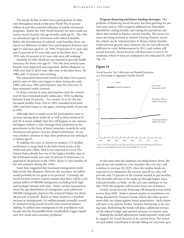The steady decline in labor force participation of older men throughout much of the post-World War II period reflects in part the powerful influence of public retirement programs. Before the 1961 Social Security Act men could not receive Social Security old-age benefits until age 65. The 1961 act introduced age-62 retirement with reduced benefits. Before the introduction of reduced early benefits, there was almost no difference in labor force participation between men aged 61 and men aged 63. In 1960, 79 percent of 61-year-olds and 76 percent of 63-year-olds were in the labor force. By 1970, only 69 percent of 63-year-olds were still working.<sup>6</sup>

Similarly in 1965, Medicare was enacted to provide health insurance for those over age 65. Over the next several years benefits were improved and expanded. Before Medicare, in 1960, over half of all 65-year-olds were in the labor force. By 1980, only 35 percent were working.

The substantial downward trend in the labor force participation rates of older men began to abate during the early 1980s, and since 1985, participation rates for men over 55 have remained nearly constant.

In sharp contrast to men, participation rates for women over 65 have remained nearly stable since 1950, vacillating between 8 and 10 percent. For women 55 to 64, the rate increased steadily from 1950 to 1965, remained level until 1985, and then began to rise again, reaching nearly 50 percent in 1995.

Although there is ample room for participation rates to increase among those under 65 as well as those between 65 and 70, it seems unlikely that this will happen to any substantial degree without a clear message from employers or the government in the form of lesser monetary rewards for early retirement and greater ones for delayed retirement. In surveys, workers continue to state their preferences for retiring at or before age 65.

To stabilize the ratio of retirees to workers, U.S. fertility would have to surge back to the baby boom levels of the 1950s and early 1960s. That is not expected to occur. The United States already has one of the highest fertility rates in the developed world, and only 10 percent of Americans (as opposed to 50 percent in the 1950s) desire to raise families of the size common during the 1950s.<sup>7</sup>

Some have suggested that increased immigration could help rectify this situation. However, the necessary net inflow would probably be too great to be practical. Currently, the Social Security trustees reports assume that there will be a net annual inflow of 900,000 immigrants, including both legal and nonlegal entrants and exits. Under current assumptions about the age distribution of immigrants, each additional 100,000 immigrants improves the actuarial balance by about .06 percent of payroll. Based on these numbers, a fourfold increase in immigration (3.6 million people annually) would be needed to bring Social Security into actuarial balance. Adding 36 million new immigrants to the population each decade into the foreseeable future would likely trigger significant new social and economic problems.<sup>8</sup>

**Program financing and future funding shortages.** The problem of financing Social Security has been growing for several years, and in 1983 Congress addressed an immediate shortfall by cutting benefits and raising the payroll tax rate above that needed to finance current benefits. The excess revenues are being invested in interest-bearing Treasury securities, which can be redeemed later to finance future benefits. Under present growth rates, however, the tax rate will not be sufficient to cover disbursements by 2012, and outlays will exceed revenues. Social Security will then have to turn to its surpluses, which in turn are estimated to be exhausted by 2029 (fig. 14).

#### **Figure 14**



Social Security Tax Collections and Benefit Payments as a Percentage of Aggregate Taxable Payroll

*Source: 1997 Annual Report of the Board of Trustees of the Federal Old-Age and Survivors Insurance and Disability Insurance Trust Funds*, Table II.F13, p.110.

At the same time the surpluses are being drawn down, the payroll tax rate needed to cover benefits (the cost rate) will continue to increase. By 2029, when the surplus funds are expected to be exhausted, the current payroll tax rates will provide only 75 percent of the revenue needed to pay benefits. The shortfall will have to be made up through higher taxes, reduced benefits, or both. As the cost rate continues to rise after 2029, the program will become more out of balance<sup>9</sup>

Clearly, Social Security financing will demand action much sooner than 2029. Today's annual surplus accumulations are being absorbed by Treasury bonds, which, like other government debt, are claims against future generations. Such claims will have to be paid by further Treasury borrowing or by raising taxes. Redeeming the bonds will place additional stresses on the federal budget and upward pressure on interest rates.

Making the needed adjustments could seriously erode public support for Social Security in its current form. The return on each dollar contributed is already falling for successive gen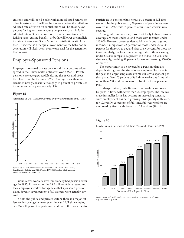erations, and will soon be below inflation-adjusted returns on other investments. It will not be too long before the inflationadjusted rate of return on contributions will be at, or below, 1 percent for higher-income young people, versus an inflationadjusted rate of 3 percent or more for other investments.<sup>10</sup> Raising taxes, cutting benefits, or both, will lower the implicit investment return on Social Security contributions still further. Thus, what is a marginal investment for the baby boom generation will likely be an even worse deal for the generation that follows.

## Employer-Sponsored Pensions

Employer-sponsored private pensions did not become widespread in the United States until after World War II. Private pension coverage grew rapidly during the 1950s and 1960s, then leveled off by the mid-1970s. Coverage since then has remained nearly constant at roughly 45 percent of private-sector wage and salary workers (fig. 15).

## **Figure 15**

Percentage of U.S. Workers Covered by Private Pensions, 1940–1993



Social Security Bulletin, June 1976. Data for 1975-1993 based on U.S. Department

Public-sector workers have traditionally had pension coverage. In 1993, 91 percent of the 18.6 million federal, state, and local employees worked for agencies that sponsored pension plans. Seventy-seven percent of all workers were actually covered.

In both the public and private sectors, there is a major difference in coverage between part-time and full-time employees. Only 12 percent of part-time workers in the private sector

participate in pension plans, versus 50 percent of full-time workers. In the public sector, 30 percent of part-timers were covered in 1993, while 85 percent of full-time workers were covered.

Among full-time workers, those least likely to have pension coverage are those under 25 and those with incomes under \$10,000. However, coverage rises quickly with both age and income. It jumps from 22 percent for those under 25 to 50 percent for those 30 to 35, and rises to 63 percent for those 45 to 49. Similarly, the 8-percent coverage rate of those earning under \$10,000 jumps to 42 percent at \$15,000–\$20,000 and rises steadily, reaching 81 percent for workers earning \$50,000 or more.<sup>11</sup>

The opportunity to be covered by a pension plan also depends strongly on the size of one's employer. Today, as in the past, the largest employers are most likely to sponsor pension plans. Over 70 percent of full-time workers at firms with more than 250 workers are covered by at least one pension plan.

In sharp contrast, only 18 percent of workers are covered by plans in firms with fewer than 25 employees. The low coverage in smaller firms has become an increasing concern, since employment has been growing most quickly in this sector. Currently, 25 percent of full-time, full-year workers are employed by firms with fewer than 25 workers (fig. 16).

## **Figure 16**

Private Pension Coverage of Full-time Workers, by Firm Size, 1993



*Source: Pension and Health Benefits of American Workers,* U.S. Department of Labor, May 1994, Table B9, p. B-13.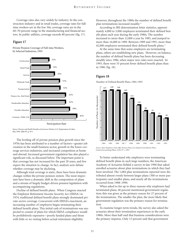Coverage rates also vary widely by industry. In the construction industry and in retail trades, coverage rates for fulltime workers are in the low 30s; coverage rates are in the 60–70-percent range in the manufacturing and financial sectors. In public utilities, coverage exceeds 80 percent (fig. 17).

#### **Figure 17**

Private Pension Coverage of Full-time Workers, by Selected Industries, 1993



*Source: Pension and Health Benefits of American Workers*, U.S. Department of Labor, May 1994, Table B7, p. B-9.

The leveling off of private pension plan growth since the 1970s has been attributed to a number of factors—greater job creation in the small-business sector, growth in the lower-coverage services industries, and increased competition at home and abroad. Increased government regulation has also played a significant role, as discussed below. The important point is that coverage has not increased for the past 20 years, and few expect the situation to change. In fact, analysts now debate whether coverage may be declining.

Although total coverage is static, there have been dramatic changes within the private pension system. The most important have been a dramatic shift in the composition of plans and a stream of largely budget-driven pension legislation with accompanying regulations.

Decline of defined benefit plans. When Congress enacted the Employee Retirement Income Security Act (ERISA) in 1974, traditional defined benefit plans strongly dominated private-sector coverage. Concurrent with ERISA's enactment, an increasing number of employers began terminating their defined benefit plans. This initial rash of terminations was suspected to consist of plans for which ERISA compliance would be prohibitively expensive—poorly funded plans and those with little or no vesting before actual retirement eligibility.

However, throughout the 1980s the number of defined benefit plan terminations increased steadily.12

According to IRS determination letter statistics, approximately 4,000 to 5,000 employers terminated their defined benefit plans each year during the early 1980s. The number increased to more than 12,000 a year by 1985, and jumped to more than 16,000 in 1989. Between 1989 and 1991, more than 42,000 employers terminated their defined benefit plans.<sup>13</sup>

At the same time that some employers are terminating plans, others are establishing new plans. However, on balance, the number of defined benefit plans has been decreasing steadily since 1986, when major new rules were enacted. In 1993, there were 55 percent fewer defined benefit plans than in 1986 (fig. 18).

#### **Figure 18**

Number of Defined Benefit Plans, 1984–1993



*Source: Most Employers That Offer Pension Plans Use Defined Contribution Plans,*  General Accounting Office, GGD-97-1, 1997.

To better understand why employers were terminating defined benefit plans in such large numbers, the American Academy of Actuaries fielded a survey in late 1990 that asked enrolled actuaries about plan terminations in which they had been involved. The 1,084 plan terminations reported were distributed almost evenly between larger plans (500 or more participants) and smaller plans, and nearly all the terminations occurred from 1988–1990.

When asked to list up to three reasons why employers had terminated plans, 40 percent mentioned government regulation; this was given as the primary reason for 27 percent of the terminations. The smaller the plan, the more likely that government regulation was the primary reason for termination.

To examine longer-term trends, the survey also asked the actuaries about their termination experiences in the early 1980s. More than half said that business considerations were the primary impetus. Only 13 percent said that government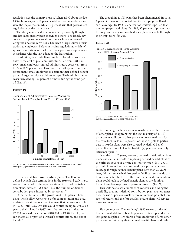regulation was the primary reason. When asked about the late 1980s, however, only 18 percent said business considerations were the major reason, while 42 percent said that government regulation was the main driver.<sup>14</sup>

The study confirmed what many had previously thought and has subsequently been shown by others. The largely revenue-driven pension legislation from each new session of Congress since the early 1980s had been a large source of frustration to employers. Delays in issuing regulations, which left sponsors uncertain as to whether their plans were operating in accordance with the law, added to the frustration.

In addition, new and often complex rules added substantially to the cost of plan administration. Between 1981 and 1996, small employers' annual administrative costs went from \$195 to \$620 per worker. This more than 200-percent increase forced many small employers to abandon their defined benefit plans. Larger employers did not escape. Their administrative costs increased by 150 percent or more during the same period (fig. 19).

#### **Figure 19**

Comparisons of Administrative Costs per Worker for Defined Benefit Plans, by Size of Plan, 1981 and 1996



*Source: Retirement Income Plan Administrative Expenses: 1981 through 1996*, Edwin Hustead, the Hay Group, presented to the Pension Research Council, May 1996.

**Growth in defined contribution plans.** The flood of defined benefit plan terminations in the 1980s and early 1990s was accompanied by the rapid creation of defined contribution plans. Between 1983 and 1993, the number of defined contribution plans increased by 45 percent.<sup>15</sup>

Of particular note is the growth in  $401(k)$  plans. These plans, which allow workers to defer compensation and accumulate assets at pretax rates of return, first became available in 1978. Until 1987, workers could contribute up to \$30,000 a year to their plans. In 1987, contributions were limited to \$7,000, indexed for inflation (\$10,000 in 1998). Employers can match all or part of a worker's contributions, and about half do.<sup>16</sup>

The growth in 401(k) plans has been phenomenal. In 1983, 7 percent of workers reported that their employers offered such coverage. By 1988, 25 percent of workers reported that their employers had plans. By 1993, 35 percent of private-sector wage and salary workers had such plans available through their employers (fig. 20).

### **Figure 20**

Pension Coverage of Full-Time Workers Under 401(k) Plans in Selected Years



*Source: Pension and Health Benefits of American Workers*,

Such rapid growth has not necessarily been at the expense of other plans. It appears that the vast majority of 401(k) plans are in addition to other plans employers maintain for their workers. In 1990, 82 percent of those eligible to participate in 401(k) plans were also covered by defined benefit plans. Ten percent of eligibles had 401(k) plans as their only retirement plan.<sup>17</sup>

Over the past 20 years, however, defined contribution plans made substantial inroads in replacing defined benefit plans as the primary source of private pension coverage. In 1975, 87 percent of covered workers received their primary pension coverage through defined benefit plans. Less than 20 years later, this percentage had dropped to 56. If current trends continue, soon after the turn of the century defined contribution plans could replace defined benefit plans as the dominant form of employer-sponsored pension program (fig. 21).

This shift has raised a number of concerns, including the possibility that most defined contribution plans are less generous, the use of pension assets before retirement, potential low rates of return, and the fear that less secure plans will replace more secure ones.

**Plan generosity.** The Academy's 1990 survey confirmed that terminated defined benefit plans are often replaced with less generous plans. Two-thirds of the employers offered other plans after terminating their defined benefit plans, and eight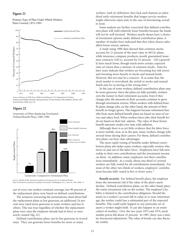#### **Figure 21**

Primary Type of Plan Under Which Workers Were Covered, 1975–1993



*Source: Abstract of 1993 Form 5500 Annual Reports*, U.S. Department of Labor, Pension and Welfare Benefits Administration, Private Pension Plan Bulletin, Winter 1997.

#### **Figure 22**

Generosity of Plans Replacing Terminated Defined Benefit Plans, 1988–1990



Generosity Compared to Terminated Plan

*Source:* Results of the American Academy of Actuaries *Survey of Defined Benefit* 

out of every ten workers retained coverage, but 90 percent of the replacement plans were based on defined contributions.

The actuaries overseeing the terminations rated about half the replacement plans as less generous; an additional 24 percent were rated more generous to some workers and less to others. This was true regardless of whether the replacement plans were ones the employer already had in force or were newly created (fig. 22).

Defined contribution plans can be less generous in several ways. They can generate lower benefits for most or many

workers. And, by definition, they lack such features as subsidized early-retirement benefits that longer-service workers might otherwise enjoy and, in the case of downsizing, actually need.

Some analysts are further concerned that defined contribution plans will yield relatively lower benefits because the funds will not be well invested. Workers nearly always have a choice of investment options under defined contribution plans. A number of studies have indicated that they often choose safer, albeit lower-return, options.

A study using 1989 data showed that common stocks account for 21 percent of the asset value in 401(k) plans, while insurance company products, mostly guaranteed insurance contracts (GICs), account for 41 percent. GICs generally have much lower, though much more certain, expected rates of return than a mixture of common stocks. Data for later years indicate that workers are becoming less risk averse and investing more heavily in stocks and mutual funds. However, this too may be a concern. If, as some fear, the stock market is overvalued, the switch to stocks and mutual funds may be occurring at the wrong time. $18$ 

In the case of some workers, defined contribution plans may be more generous. Since the plans are fully portable, workers own the money in their retirement accounts. Even if they change jobs, the amounts in their accounts continue to grow through investment returns. When workers with defined benefit plans change jobs, on the other hand, the amount of their benefit no longer grows. This happens because retirement benefits from most defined benefit plans are based on years of service and salary level. When workers leave jobs, their benefit levels are based on their last salaries. The value of these frozen benefit amounts erodes over time with inflation.

Although there is as yet little evidence that the labor force is more mobile, now, as in the past, many workers change jobs several times during their careers. For them, defined contribution plans can have clear advantages.

The more rapid vesting of benefits under defined contribution plans also helps many workers, especially women who move in and out of the labor force. Employees have full ownership in their own contributions and the investment income on them. In addition, many employers vest their contributions immediately. As a result, about one-third of covered workers are fully vested for all contributions immediately. For most of the other two-thirds of workers, employers' contributions become fully vested in five or fewer years.<sup>19</sup>

**Benefit security.** For defined benefit plans, the employer bears the investment risk if the value of the plan's assets decline. Defined contribution plans, on the other hand, place the entire investment risk on the worker. The employer's liability is limited to the contribution obligation. Should the assets in a worker's account fall in value at or near retirement age, the worker could lose a substantial part of the expected benefits. This could easily happen to any particular set of assets a worker might hold. It can also happen to an entire cohort of workers. Over the two years 1973 and 1974, stock market prices fell about 25 percent. In 1987, there was a similar downward adjustment. The value of bonds can also fluctuate widely.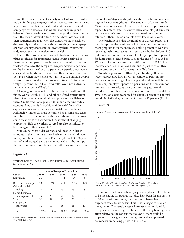Another threat to benefit security is lack of asset diversification. In the past, employers often required workers to invest large portions of their defined contribution accounts in the company's own stock, and some still may encourage such behavior. Some workers, of course, have profited handsomely from this lack of diversification. Others have lost nearly all their retirement savings when the company's stock declined dramatically in value. Even without prodding from employers, workers may choose not to diversify their investments and, hence, expose themselves to large risks.

One of the most serious drawbacks to defined contribution plans as vehicles for retirement saving is that nearly all of them permit lump-sum distributions of account balances to workers who leave the company. Despite having to pay taxes on the income, as well as a 10-percent tax penalty, most workers spend the funds they receive from their defined contribution plans when they change jobs. In 1990, 10.8 million people received lump-sum distributions amounting to \$126 billion. Only 56 percent (\$71 billion) was rolled over into individual retirement accounts (IRAs). <sup>20</sup>

Changing jobs may not even be necessary to withdraw the funds. Workers with 401(k) and other defined contribution plans often have lenient withdrawal provisions available to them. Unlike traditional plans, 401(k) and other individual account plans permit "hardship withdrawals" for medical expenses, education expenses, and first-home purchases. Although withdrawals must be counted as income and taxes must be paid on the money withdrawn, about half the workers in these plans can withdraw funds without changing employers. Half the workers covered are also permitted to borrow against their accounts.<sup>21</sup>

Studies show that older workers and those with larger amounts in their plans are more likely to return withdrawn money to retirement accounts. For example, in 1993, 60 percent of workers aged 55 to 64 who received distributions put the entire amount into retirement or other savings. Fewer than

#### **Figure 23**

Workers' Uses of Their Most Recent Lump Sum Distributions from Pension Plans

|                                       | Age at Receipt of Lump Sum |               |               |               |                 |
|---------------------------------------|----------------------------|---------------|---------------|---------------|-----------------|
| Use of<br>Lump Sum                    | Under<br>25                | $25$ to<br>34 | $35$ to<br>44 | $45$ to<br>54 | 55 to<br>64     |
| Retirement savings<br>Other financial | 3%                         | 14%           | 27%           | 34%           | 42%             |
| savings<br>Home, business,            | 11                         | 11            | 13            | 13            | 18              |
| debt repayment                        | 19                         | 28            | 22            | 17            | 10              |
| Spent<br>Multiple and                 | 56                         | 32            | 23            | 21            | 10              |
| other uses                            | 10                         | 14            | 16            | 15            | $\overline{20}$ |
| Total                                 | 100%                       | 100%          | 100%          | 100%          | 100%            |

*Source: Pension and Health Benefits of American Workers*, U.S. Department of Labor, May 1994, Table D5, p. D-5.

half of 45-to-54-year-olds put the entire distribution into savings or investments (fig. 23). The tendency of workers under 55 to use amounts saved for retirement for other purposes is especially unfortunate. As shown later, amounts put aside earlier in a worker's career are generally worth much more at retirement than similar amounts saved late in one's career.

One bright note is that the number of workers preserving their lump sum distributions in IRAs or some other retirement program is on the increase. Only 6 percent of workers receiving their most recent lump sum distribution before 1980 put it in a new retirement account. This jumped to 15 percent for lump sums received from 1980 to the end of 1986, and to 27 percent for lump sums from 1987 to April of 1993.<sup>22</sup> The increase after 1986 may have been due in part to the stiffer, 10-percent tax penalty that went into effect then.

**Trends in pension wealth and plan funding.** It is not widely appreciated how important employer pension programs are to the savings of working adults. Along with home ownership, employer-sponsored pensions are the most important way that Americans save, and over the past several decades pensions have been a tremendous source of capital. In 1950, pension assets accounted for about 2 percent of national wealth. By 1993, they accounted for nearly 25 percent (fig. 24).

## **Figure 24**

Pension Assets as a Percentage of National Wealth, 1950-1993



*Source: The Aging of the Baby Boom Generation*, Sylvester Schieber and John Shoven,

It is not clear how much longer pension plans will continue to be the engine for savings that they have been for the past 15 to 20 years. At some point, they may well change from net buyers of assets to net sellers. This is not a negative development, per se. The pension assets have been accumulated for this purpose. However, given the size of the baby boom generation relative to the cohorts that follow it, there could be impacts on the aggregate economy, just as there appeared to be impacts on housing prices in the 1970s.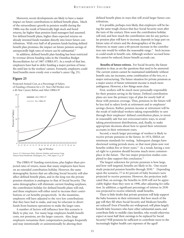Moreover, recent developments are likely to have a major impact on future contributions to defined benefit plans. Much of the extraordinary growth in pension wealth during the 1980s was the result of historically high stock and bond returns, far higher than pension fund managers had assumed. For defined benefit plans, higher-than-expected returns on already invested funds translate directly into lower future contributions. With over half of all pension funds backing defined benefit plan promises, the impact on future pension savings of unexpectedly high rates of return can be substantial.<sup>23</sup>

In addition, defined benefit plan funding has been restricted by revenue-driven funding rules in the Omnibus Budget Reconciliation Act of 1987 (OBRA 87). As a result of that law, employers have had to defer funding a major portion of benefits until late in the workers' careers. Formerly, employers could fund benefits more evenly over a worker's career (fig. 25).

#### **Figure 25**

Projected Annual Cost, as a Percentage of Salary, of Funding a Pension for a 25- Year-Old Worker over a 40-Year Career, Before and After OBRA 87



*Source: U.S. Retirement Policy*, Sylvester Schieber and Laurene Graig, Watson Wyatt Worldwide, Washington, D.C., 1994, Figure 13, p. 29.

The OBRA 87 funding restrictions, plus higher-than-projected rates of return, mean that many employers have been on an extended contribution holiday. However, the same demographic factors that are affecting Social Security will also affect defined benefit plans, and in the long run the private pension situation is analogous to that of Social Security. The same demographics will eliminate current funding surpluses, the contribution holiday for defined benefit plans will end, and these employers will either need to increase their contributions or cut benefits prospectively. In the meantime, employers will have adjusted to the very low contributions that they have had to make, and may be reluctant to divert funds from business operations to make the larger ones.

A number of factors will influence how this scenario is likely to play out. For many large employers health benefit costs, not pensions, are the larger concern. Also, large employers reexamine their compensation packages frequently and may intentionally or unintentionally be altering their

defined benefit plans in ways that will avoid larger future contributions.

It is possible, perhaps even likely, that employers will be facing the same tough choices that face Social Security soon after the turn of the century. How soon the contribution holiday will end, and how much the contribution rate for any particular pension plan will have to increase, depends in large part on future rates of return and the demographics of the plan. However, in many cases a 60-percent increase in the contribution rate would be within the reasonable range.<sup>24</sup> Such increases could result in benefit cuts. Although workers' accrued benefits cannot be reduced, future benefit accruals can.

**Benefits of future retirees.** For Social Security, the future situation is clear, as are the questions that need to be answered. The current system cannot be maintained indefinitely without benefit cuts, tax increases, some combination of the two, or a major restructuring. The future situation for private pensions as a major source of future retirement income is much more ambiguous. However, a few things seem clear.

First, workers will be much more personally responsible for their pension saving in the future. Defined contribution plans are now the primary type of plan for nearly half of those with pension coverage. Thus, pensions in the future will be less tied to salary levels at retirement and to employers' savings choices. Rather, pension income at retirement will be the result of individual workers taking responsibility to save through their employers' defined contribution plans, to invest in reasonably safe but not overconservative ways, to avoid taking preretirement distributions, and, finally, to make appropriate decisions about how to spend their retirement accounts in their retirement years.

Second, a much larger percentage of workers is likely to receive private pensions in the future. In 1974, ERISA set minimum standards for vesting. Subsequent changes have shortened vesting periods more, so that most plans now vest benefits within five or fewer years.<sup>25</sup> As a result, having a vested right to a pension should become much more commonplace in the future. The two major projection studies completed to date support this conclusion.<sup>26</sup>

The largest unknown for private pensions is how large, and how well targeted, benefits are likely to be. One recent study projected pension benefits through 2030.<sup>27</sup> Depending upon the scenario, 77 to 82 percent of baby boomers were projected to receive pensions. However, the projection indicated that, on average, the benefits in 2030 will not be appreciably higher than they were in 1990, after adjusting for inflation. In addition, a significant percentage of retirees in 2030 was projected to receive relatively small benefits.

There is little doubt that private pensions will help support the baby boomers in their retirement. But how much of the gap will they fill when Social Security and Medicare benefits are reduced? Even if benefits are widespread, will plans largely benefit baby boomers who have other substantial assets, and contribute little to middle-class families, who would otherwise expect at most half their earnings to be replaced by Social Security? Will pensions be sufficient to contribute more to the increasingly higher health care expenses of the aged?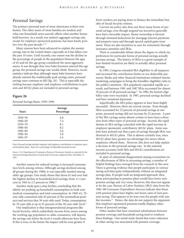## Personal Savings

The primary personal asset of most Americans is their own homes. The other assets of most families are modest, and what one household saves scarcely offsets what another household borrows. As a result, our nation's aggregate savings rate, except for employer-sponsored pensions, has been barely positive over the past decade.<sup>28, 29</sup>

Many reasons have been advanced to explain the anemic savings rate in the United States, especially as it has fallen over the past 10 years. Until recently, one reason was the decline in the percentage of people in the population between the ages of 45 and 64, the age group considered the most aggressive savers. It was thought that once baby boomers entered this age group, the personal savings rate would climb. However, recent statistics indicate that, although many baby boomers have already entered the traditionally peak savings years, personal savings rates continue to fall (fig. 26). This is especially disturbing because employer and employee contributions to pension and 401(k) plans are included in personal savings.

## **Figure 26**

Personal Savings Rates, 1950–1996

| <b>Years</b> | Average<br>Percentage |
|--------------|-----------------------|
| 1950-59      | 6.8                   |
| 1960-69      | 7.4                   |
| 1970-79      | 8.1                   |
| 1980-84      | 8.2                   |
| 1985-89      | 5.6                   |
| 1990-94      | 5.0                   |
| 1995-97      | 4.5                   |

Note: Personal savings includes employer and employee contributions to employer-sponsored pension plans. Rates are a percentage of disposable personal income.

*Source:* U.S. Department of Commerce, Bureau of Economic Analysis as reported by the American Savings Education Council, http://www.asec.org/persav.htm, December 15, 1997.

Another reason for reduced savings is increased consumption levels among retirees. Although savings declined among all groups during the 1980s, it was especially marked among older age groups. One study shows that those 65 and over had the highest decline in household-level savings, from 11.2 percent in 1963 to 2.5 percent in 1986.<sup>30</sup>

Another study goes a step further, concluding that the elderly are pushing up household consumption in both nonmedical consumption and total consumption. In 1960–61, 70 year-olds consumed only 63 percent of the nonmedical products and services that 30-year-olds used. Today, consumption by 70-year-olds is up to 91 percent of the 30-year-olds' level.<sup>31</sup>

One implication is that intergenerational programs like Social Security, which redistribute income from savers among the working-age population to older consumers, will depress the savings rate below the level it would otherwise have been. If this is true, in the future the impact will be even greater if

fewer workers are paying more to finance the immediate benefits of Social Security retirees.

Current tax policy also does not favor many forms of personal savings, even though targeted tax incentives generally have had a favorable impact. Home ownership is favored through itemized deductions for mortgage interest payments and property taxes and through special capital gains treatment. There are also incentives to save for retirement through insurance annuities and IRAs.

There is considerable debate about the degree to which tax preferences for particular forms of personal savings actually increase savings. The history of IRAs is a good example of how limited incentives are likely to actually affect personal savings.

In 1981, Congress extended IRA eligibility to all taxpayers and increased the contribution limits on tax-deductible payments. Banks and other financial institutions initiated intense marketing campaigns to bring the friendlier eligibility rules to the public's attention. IRA popularity expanded rapidly as a result, and between 1981 and 1987 IRAs accounted for almost 20 percent of all personal savings<sup>32</sup> In 1986, the lenient eligibility rules were rescinded. In 1987, personal savings declined and have remained depressed.

Superficially, the IRA policy appears to have been highly successful. However, there are several caveats. Even though IRAs accounted for 25 percent of personal savings at one point, personal savings did not increase by 25 percent. A part of the IRA savings seems almost certain to have been a diversion from other types of personal savings. Second, the rapid demise in IRA savings coincided with the rapid increase in employer-sponsored, contributory 401(k) plans. Some analysts have pointed out that a part of savings through IRAs was diverted to 401(k) plans. This is almost certainly true, since 401(k) plans have greater tax advantages for savers whose employers offered them. However, this does not help explain a decrease in the personal savings rate. In the national income accounts, both IRA and 401(k) contributions are included in personal savings.

In spite of substantial disagreement among economists on the effectiveness of IRAs in increasing savings, a number of helpful findings have emerged from the research in this area. There is growing evidence that people participate in various saving activities quite independently, without an integrated savings plan. If people took an integrated approach, then those participating in pension plans would have lower nonpension savings and vice versa. However, this does not appear to be the case. Bureau of Labor Statistics (BLS) data from the 1981–88 Consumer Expenditure Surveys indicate that those with pension plans have higher, not lower, rates of non-pension saving. This appears to be true even for people with similar incomes.<sup>33</sup> Hence, the data do not support the argument that employer-sponsored pensions totally displace other forms of personal savings.

Other studies that have examined substitutions between pension coverage and household saving tend to reinforce these findings. One noted study found that some reduction in other saving was associated with pension coverage.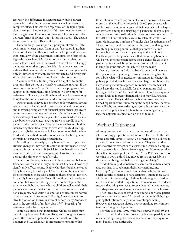#### R ETIREMENT I NCOME

However, the differences in accumulated wealth between those with and without pension coverage fell far short of a complete offset. This was true regardless of the type of pension coverage.<sup>34</sup> Findings such as this seem to emerge consistently, regardless of the form of savings. There is some offset between forms of savings, but it is less than total. The debate is over how large the offset is likely to be.

These findings have important policy implications. If the government creates a new form of tax-favored savings, then the amount saved in this form will not all represent new savings. Similarly, if the government eliminates one form of savings vehicle, such as IRAs, it cannot be expected that the money that would have been saved in that vehicle will simply be moved to another type of vehicle. Experience seems to indicate that large numbers of Americans use savings vehicles only if they are convenient, heavily marketed, and clearly subsidized by someone like an employer or the government.

A corollary of this finding can also be applied to public programs that do not in themselves constitute savings. If the government reduces Social Security or other programs that support retirement, then some families will save more for retirement. However, overall savings will not increase enough to replace the cutback without added inducements to save.

Other reasons believed to contribute to low personal savings rates are the proliferation of consumer credit and the number and increasing complexity of financial instruments that create confusion about their use and concern about their volatility. Also, real wages have been stagnant for 19 years, which means baby boomers' wage rates have not grown as rapidly as their parents' did at similar ages. Baby boomers are having children later, leaving them fewer years to save after the child-rearing years. Also, baby boomers will likely use more of their savings to educate their children, who are now more likely to pursue increasingly expensive college educations.

According to one analyst, baby boomers must triple their current savings if they want to enjoy an undiminished living standard in retirement.<sup>35</sup> If Social Security benefits are significantly reduced, current savings would have to be increased perhaps five times over today's levels.

Other, less obvious, factors also influence savings behavior. Evidence from various surveys shows that financial knowledge significantly affects saving. People who describe themselves as "very financially knowledgeable" saved several times as much for retirement as those who described themselves as "not very financially knowledgeable." In addition, financial knowledge and adult behavior are strongly related to developmental experiences. Baby boomers who, as children, talked with their parents about financial decisions, received allowances, held bank accounts, held securities, and took courses in economics or related subjects save more.<sup>36</sup> Finally, Americans tend to "live for today." As shown in a recent survey, many Americans expect the essentials of middle-class life.<sup>37</sup> Preparing for retirement pales by comparison.

Some have argued that inheritances will rescue large numbers of baby boomers. This is unlikely, even though one study placed the combined potential inherited wealth of baby boomers at \$10.4 trillion. It is important to remember that

these inheritances will not occur all at once but over 40 years or more; that the total barely exceeds \$100,000 per bequest, which will be divided among siblings; and that bequests will be largely concentrated among the offspring of parents in the top 10 percent of the income distribution. It is also not clear how much of the \$10.4 trillion will materialize as transferable wealth. For example, increasing numbers of couples plan for retirements of 25 years or more and may minimize the risk of outliving their wealth by purchasing annuities that guarantee a lifetime income, but do not transfer any money to their children. Finally, improved longevity means that many baby boomers will be well into retirement before their parents die. As in the past, inheritances will be an important source of retirement income for some but are unlikely to help the many.

Overall, it seems unlikely that baby boomers will increase their personal savings enough during their working lives to contribute what will be needed to compensate for changes in publicly provided benefits. As larger and larger numbers of the baby boom generation approach retirement, the trends that helped ease the way financially for their parents are likely to turn against them and their cohorts who follow. Housing values are not likely to increase dramatically, but may fall. Financial markets are less likely to deliver the high returns that have helped higher-income units among the baby boomers' parents. Nor will baby boomers retire at, or soon after, a time when the real values of public benefits have been increasing rapidly. In fact, the opposite is almost certain to be the case.

## Work and Retirement

Although retirement has almost always been discussed as an all-or-nothing proposition, that is not really true. In the late sixties and early seventies about 25 percent of men did not go directly from a career job to retirement. They chose other paths toward retirement such as part-time work, self-employment, or work in an alternative occupation. More recent data show that, of a group of men 51 and 61 in 1992 who were not working in 1994, a third had moved from a career job to a shorter-term bridge job before retiring completely.<sup>38</sup>

In addition to gradual retirement, some families have always used earnings to supplement their retirement income. Currently, 20 percent of couples and individuals over 65 with Social Security benefits also have earnings. Among those 62 to 64, about half have earnings. Although neither gradual retirement nor some work during retirement are new, recent evidence suggests that using earnings to supplement retirement income, or perhaps to conserve it, may be a major trend on the horizon.

After three decades of steadily declining labor force participation, rates for men over 55 leveled in the mid-1980s, suggesting that retirement ages may have stopped falling. However, the aggregate picture may be masking some important underlying developments.

Between 1984 and 1993, while males between ages 50 and 64 participated in the labor force at stable rates, participation rates in this age range by men who were also receiving retirement benefits rose noticeably.<sup>39</sup>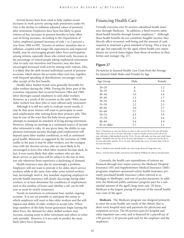Several factors have been cited to help explain recent increases in work activity among male pensioners under 64. One is the decline in inflation-adjusted values of pensions after retirement. Employers have been less likely to grant retirees ad hoc increases in pension benefits to help offset cost-of-living increases. According to the Department of Labor, employers granted increases of only 1 to 2 percent a year from 1984 to1992. Erosion of retirees' annuities due to inflation, coupled with longer life expectancies and improved health, may be encouraging greater labor force participation among retirees, especially those who retired early. Increases in the percentage of retired people taking unplanned retirements (due to early-out incentives and buyouts) may also have encouraged increased work activity among early retirees. Also, it is likely that the shift toward individual control of pension accounts, which means the accounts often earn less, together with frequent spending of distributions, encourages work after receipt of the first benefit.

Finally, labor market trends were generally favorable for older workers during the 1980s. During the latter part of the economic expansion that occurred between 1984 and 1989, labor shortages caused employers to seek older workers. However, as a result of the recession in the early 1990s, many older workers lost their jobs or were offered early retirement.

Although it is still too early to evaluate recent trends, it may be that more retirees will want to participate in some paid employment after retiring from their primary jobs. This may be one of the ways that the baby boom generation attempts to maintain its standard of living during retirement. However, relying on earnings as a continued source of income after retirement is risky. At any given time, the ability to supplement retirement income through paid employment will depend upon labor market conditions, as well as continued good health. Moreover, as suggested by the recession of 1990, unlike in the past, it may be older workers, not the youngest ones with the shortest service, who are most likely to be encouraged to leave first when labor markets become slack. In fact, it now seems likely that older workers who are also short-service or part-time will be subject to the last-in-firstout rule whenever firms experience a slackening of demand.

Health insurance may also be increasingly a problem. Employers will not want to provide it for older, short-service workers, while at the same time older, semi-retired workers may increasingly need it. Any mandate requiring employers to provide health insurance will clearly discourage hiring older workers, or at least determine the conditions of employment, such as the number of hours and whether a job can be fullyear or must be clearly temporary.

Trends in transitions to retirement bear careful, ongoing scrutiny. It is not yet possible to anticipate the extent to which employers will want to hire older workers and the willingness and ability of older workers to accept jobs. When large numbers of the baby boom generation begin leaving the labor force, the demand for older, skilled workers may increase, causing some to defer retirement and others to retire only partially. However, it is too early to predict the most likely labor force dynamics.

## Financing Health Care

Virtually everyone over 65 receives subsidized health insurance through Medicare. In addition, a third receives subsidized health benefits through former employers.<sup>40</sup> Although these health benefits do not constitute fungible income, they directly affect economic well-being and the amount of cash required to maintain a given standard of living. This is true at any age, but especially for the aged, where health care expenditures are several times higher than those of workers in their forties and younger (fig. 27).

## **Figure 27**

Deviations in Insured Health Care Costs from the Average for Insured Adult Males and Females by Age

| Age Group   | Male | Female |
|-------------|------|--------|
| $20 - 29$   | .6   | 1.2    |
| $30 - 39$   | .8   | 1.4    |
| $40 - 44$   | 1.0  | 1.6    |
| $45 - 49$   | 1.2  | 1.7    |
| $50 - 54$   | 1.6  | 2.0    |
| $55 - 59$   | 2.2  | 2.3    |
| $60 - 64$   | 3.0  | 2.7    |
| $65 - 69$   | 3.7  | 3.3    |
| $70 - 74$   | 4.5  | 3.9    |
| $75 - 79$   | 5.2  | 4.4    |
| $80 - 84$   | 5.6  | 4.9    |
| 85 or older | 5.7  | 5.1    |

Note 1: Variations in costs are shown as ratios to the cost for 40-to-44-year-old males. Thus, the cost for 20-to-29-year-old males is only six-tenths of the cost for 40-to-44 year-old males, while medical costs for 70-to-74-year-old males are four and a half times higher. Similarly, the cost for 20-to-29-year-old females is 1.2 times the cost for 40-to-44-year-old males, and for 70-to-74-year-old females the cost is 4.4 times that of 40-to-44-year-old males.

Note 2: Medical costs include health care costs except those for long-term care.

*Source:* Derived from health cost factors provided by William M. Mercer Incorporated.

Currently, the health care expenditures of retirees are financed through four major sources: the Medicare Hospital Insurance (HI) and Supplementary Medical Insurance (SMI) programs, employer-sponsored retiree health insurance, privately purchased health insurance (often referred to as Medigap or MedSupp), and out-of-pocket payments. In addition, the Medicaid public assistance program pays for a substantial amount of the aged's long-term care. Of these, Medicare is the largest, paying 45 percent of the overall health care costs of the aged.

**Medicare.** The Medicare program was designed primarily to meet the acute health care needs of the elderly, that is, short-term hospital stays and payments for physicians and outpatient services. The HI portion pays for hospital and other inpatient care costs, and is financed by a payroll tax of 2.90 percent (1.45 percent paid each by the employer and the employee).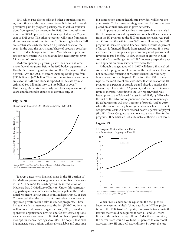SMI, which pays doctor bills and other outpatient expenses, is not financed through payroll taxes. It is funded through premiums paid by program participants, as well as contributions from general tax revenues. In 1998, direct monthly premiums of \$43.80 per participant are expected to pay 25 percent of SMI costs. The other 75 percent will come from general revenues and trust fund income.<sup>41</sup> Financing levels for SMI are recalculated each year based on projected costs for the year. In the past, the participants' share of program costs has varied. Under changes enacted in 1997, each year's premium rate for participants will be set at the level necessary to cover 25 percent of program costs.

Medicare spending is growing faster than nearly all other major federal programs. Before the 1997 budget agreement, the Health Care Financing Administration (HCFA) projected that, between 1997 and 2006, Medicare spending would grow from \$213 billion to \$457 billion. The contribution from general revenues to the SMI fund alone is expected to increase from an estimated \$60 billion in 1997 to \$156 billion in 2006.<sup>42</sup> Historically, SMI costs have nearly doubled every seven to eight years, and this trend is expected to continue (fig. 28).

## **Figure 28**

Historic and Projected SMI Disbursements, 1970–2005



To avert a near-term financial crisis in the HI portion of the Medicare program, Congress made a number of changes in 1997. The most far-reaching was the introduction of Medicare Part C (Medicare+Choice). Under this restructuring, participants can now choose to participate in the traditional Medicare Parts A and B or in Medicare Part C. If Part C is selected, then the participant must select one of several approved private sector health insurance programs. These include health maintenance organization (HMO) options, as well as preferred provider organizations (PPOs), provider sponsored organizations (PSOs), and fee-for-service options. As a demonstration project, a limited number of participants may opt for medical savings accounts. The hope is that making managed care options universally available and encouraging competition among health care providers will lower program costs. To help ensure this, greater restrictions have been placed on annual increases in provider costs.

An important part of averting a near-term financial crisis in the HI program was shifting costs for home health care services from the HI program to the SMI program over a six-year period. Of course, this will increase SMI costs. However, the SMI program is insulated against financial crises because 75 percent of its cost is financed directly from general revenue. If its cost increases, there is simply a larger draw on general government revenues to pay benefits. To slow the rate of growth in SMI costs, the Balance Budget Act of 1997 imposes prospective payment systems on many services covered by Part B.

Although changes adopted in 1997 will defer a financial crisis in the HI program until the end of the next decade, they do not address the financing of Medicare benefits for the baby boom generation and beyond. Data from the 1997 trustees' reports, the most recent available, show that the cost of the HI program as a percent of taxable payroll already outstrips the current payroll tax rate of 2.9 percent, and is expected to continue to increase. According to the1997 report, which was issued prior to the Balanced Budget Act of 1997, by 2010, when the first of the baby boom generation reaches retirement age, HI disbursements will be 5.1 percent of payroll. And by 2030, when the last of the baby boom generation reaches retirement age, program costs will have reached nearly 9 percent of payroll (fig. 29). Since Congress has yet to enact any tax hikes for the program, HI benefits are not sustainable at their current levels.

## **Figure 29**

HI Program Cost and Income Rates as a Percentage of Aggregate Payroll



*Insurance Trust Fund*, Table II.E2, p. 42.

When SMI is added to the equation, the cost picture becomes even more bleak. Using data from HCFA's projections in the 1997 trustees' reports, it is possible to estimate the tax rate that would be required if both HI and SMI were financed through a flat payroll tax. Under this assumption, the current rate would have to be 5.4 percent to cover total expected 1997 HI and SMI expenditures. By 2010, the rate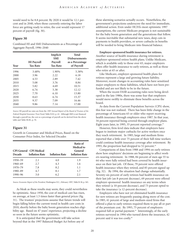would need to be 8.8 percent. By 2020 it would be 12.1 percent and in 2040, when those currently entering the labor force are getting ready to retire, the cost would represent 17 percent of payroll (fig. 30).

## **Figure 30**

Combined HI and SMI Disbursements as a Percentage of Aggregate Payroll, 1996–2040

| Year | <b>HI</b> Payroll<br><b>Tax Rate</b> | Implicit<br><b>SMI</b><br>Payroll<br><b>Tax Rate</b> | <b>Total</b><br><b>Disbursements</b><br>as a Percentage<br>of Payroll |
|------|--------------------------------------|------------------------------------------------------|-----------------------------------------------------------------------|
| 1996 | 3.48%                                | 1.90%                                                | 5.38%                                                                 |
| 2000 | 3.96                                 | 2.22                                                 | 6.18                                                                  |
| 2005 | 4.53                                 | 2.89                                                 | 7.42                                                                  |
| 2010 | 5.08                                 | 3.76                                                 | 8.84                                                                  |
| 2015 | 5.82                                 | 4.69                                                 | 10.51                                                                 |
| 2020 | 6.74                                 | 5.38                                                 | 12.12                                                                 |
| 2025 | 7.70                                 | 6.10                                                 | 13.80                                                                 |
| 2030 | 8.63                                 | 6.74                                                 | 15.37                                                                 |
| 2035 | 9.37                                 | 7.09                                                 | 16.46                                                                 |
| 2040 | 9.86                                 | 7.14                                                 | 17.00                                                                 |

*Source:* HI payroll tax rates are from the *1997 Annual Report of the Board of Trustees of the Federal Hospital Insurance Trust Fund*, Table II.E2, p. 42. Although SMI is not financed through a payroll tax, the cost as a percentage of payroll can be derived from the above table and Table III.B1, p. 70.

## **Figure 31**

Growth in Consumer and Medical Prices, Based on the Consumer Price Index, for Selected Decades

| <b>Decade</b> | <b>CPI General</b> CPI Medical<br><b>Inflation Rate</b> | <b>Inflation Rate</b> | Ratio of<br><b>Medical to</b><br>General<br><b>Inflation Rate</b> |
|---------------|---------------------------------------------------------|-----------------------|-------------------------------------------------------------------|
| 1950–59       | 2.1                                                     | 4.0                   | 1.9                                                               |
| $1960 - 69$   | 2.7                                                     | 4.3                   | 1.6                                                               |
| $1970 - 79$   | 7.8                                                     | 8.2                   | 1.1                                                               |
| 1980-89       | 4.7                                                     | 8.1                   | 1.7                                                               |
| 1990–96       | 3.0                                                     | 6.2                   | 2.1                                                               |

*Source: Economic Report of the President*, Washington D.C., February 1997, Table B-58, p. 365.

As bleak as these results may seem, they could nevertheless be optimistic. Since 1950, the cost of medical care has risen, on average, at least 1.5 times faster than general prices (fig. 31). The trustees' projections assume that future trends will begin falling below the current trend in health care costs in 2010, shortly before the baby boom generation reaches eligibility age. Based on 47 years' experience, projecting a decline so soon in the future seems optimistic.

It is anticipated that the government will take action beyond that in the 1997 Balanced Budget Act before any of these alarming scenarios actually occurs. Nonetheless, the government's projections underscore the need for immediate, additional action. Even under HCFA's most optimistic 1997 assumptions, the current Medicare program is not sustainable for the baby boom generation and the generations that follow. It seems inevitable that substantial new taxes, deep cuts in payments to health providers, or severe cutbacks in benefits will be needed to bring Medicare into financial balance.

**Employer-sponsored health insurance for retirees.** Another source of health insurance during retirement is employer-sponsored retiree health plans. Unlike Medicare, which is available only to those over 65, major employers often offer health insurance to early retirees, as well as those who retire at 65 or after.

Like Medicare, employer-sponsored health plans for retirees represent a large and growing future liability. Moreover, recent changes in accounting rules have sensitized major employers to these liabilities, which have not been prefunded and are not likely to be in the future.

When the recent FASB accounting rules were being developed in the late 1980s, there was some fear that employers would move swiftly to eliminate these benefits across the board.

As data from the Current Population Surveys (CPS) show, this fear was not realized. There has been little change in the percentage of Americans 65 or older who report receiving health insurance through employers since 1987. In that year, 34 percent reported being covered through employer plans. Eight years later, in 1995, 35 percent reported coverage.<sup>43</sup>

However, firm-level data indicate that employers have begun to institute major cutbacks for active workers once they reach retirement. In 1985, large and medium firms reported that a little over 75 percent of their full-time workers could continue health insurance coverage after retirement. By 1993, the proportion had dropped to 52 percent.<sup>44</sup>

Comparisons of data from 1988 and 1994 on early retirees show how employers' decisions are beginning to affect workers nearing retirement. In 1988, 84 percent of men age 55 to 64 who were fully retired had been covered by health insurance on their last job. Of these, 79 percent were offered health insurance when they retired, and 85 percent signed up (fig. 32). By 1994, the situation had change substantially. Seventy-six percent of early retirees had health insurance on their last job (an 8-percent decrease), 69 percent were offered employer-sponsored health insurance on any terms when they retired (a 10-percent decrease), and 73 percent opted to take the insurance (a 12-percent decrease).

Employers who have not yet eliminated health insurance for new retirees are frequently passing along more of the cost. In 1985, 41 percent of large and medium-sized firms that offered a plan to early retirees required them to pay all or part of the premium cost. By 1993, 75 percent of employers required full or partial payment.<sup>45</sup> Interestingly, of the early retirees surveyed in 1994 who turned down the insurance, 42 percent said it was too costly.46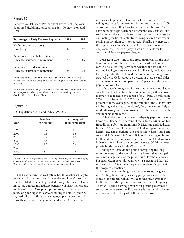#### **Figure 32**

Reported Availability of Pre- and Post-Retirement Employer-Sponsored Health Insurance among Early Retirees, 1988 and 1994

| <b>Percentage of Early Retirees Reporting:</b>                    | 1988 |    |
|-------------------------------------------------------------------|------|----|
| Health insurance coverage<br>on last job                          | 84   | 76 |
| Being covered and being offered<br>health insurance at retirement | 79   | 69 |
| Being offered and accepting<br>health insurance at retirement     | 85   | 73 |

Note: Early retirees were defined as those aged 55 to 64 who were fully retired. Those reported being retired but working full or part time were not included.

*Source: Retiree Health Benefits: Availability from Employers and Participation by Employees*, Pamela Loprest, The Urban Institute, Washington, D.C., October 1997, derived from Figure 2, p. 9a.

## **Figure 33**

U.S. Population Age 85 and Older, 1990–2050

| Year | <b>Number</b><br>in Millions | Percentage of<br><b>Total Population</b> |
|------|------------------------------|------------------------------------------|
| 1990 | 3.7                          | 1.4                                      |
| 2000 | 4.3                          | 1.6                                      |
| 2010 | 5.7                          | 1.9                                      |
| 2020 | 6.5                          | 2.1                                      |
| 2030 | 8.5                          | 2.4                                      |
| 2040 | 13.5                         | 3.7                                      |
| 2050 | 18.2                         | 4.6                                      |

*Source: Population Projections of the U.S. by Age, Sex, Race, and Hispanic Origin*, Current Population Reports, Series 25-1130, U.S. Bureau of the Census, February 1996. Numbers are from the middle-series projections.

The trend toward reduced retiree health benefits is likely to continue. For retirees 65 and older, the employers' costs are directly related to benefits provided through Medicare. Hence, any future cutback in Medicare benefits will likely increase the employers' costs. Also, prescription drugs, which Medicare covers only for inpatient care, are among the most rapidly rising medical costs. Since many employer plans cover prescriptions, their costs are rising more rapidly than Medicare and

medical costs generally. This is a further disincentive to providing insurance for retirees and for retirees to accept an offer of insurance when they have to pay much of the cost. As baby boomers begin reaching retirement, these costs will skyrocket for employers that have not restructured their costs by eliminating the benefit entirely, reducing covered services, or passing on premium costs to retirees. Finally, any increase in the eligibility age for Medicare will dramatically increase employers' costs, since employers would be liable for total costs until Medicare payment begins.

**Long-term care.** One of the great unknowns for the baby boom generation is how extensive their need for long-term care will be. Most long-term care, whether at home or in a nursing facility, occurs near the end of life and, the longer one lives, the greater the likelihood that some form of long-term care will be needed. About 25 percent of those 85 and older are in nursing homes, compared with 5 percent of the general population over 65.47

As the baby boom generation reaches more advanced ages over the next half century, the number of people 85 and over is expected to increase by a factor of four, from 4.3 million in 2000 to over 18 million in 2050 (fig. 33). Moreover, nearly 75 percent of those over age 85 by the middle of the 21st century will be single, divorced, or widowed, the groups most likely to need extensive government assistance, including home health and nursing home care.<sup>48</sup>

In 1995, Medicaid, the largest third-party payer for nursing home care, financed 47 percent of the nation's \$78 billion tab. In addition, public programs, mostly Medicare and Medicaid, financed 55 percent of the nearly \$29 billion spent on home health care. The growth in such public expenditures has been substantial. Between 1990 and 1995, total spending on home health and nursing home care increased from \$64 billion to a little over \$106 billion, a 66 percent increase. Of this increase, private funds financed only 29 percent.<sup>49</sup>

Although the data do not permit segregating the longterm care costs for the aged alone, it is known that the aged consume a large share of the public funds for these services. For example, in 1995, although only 11 percent of Medicaid recipients were 65 or older, they consumed over 30 percent of the program's benefits.<sup>50</sup>

As the number reaching advanced ages soars, the government's obligation through existing programs is also likely to soar. Sheer numbers will likely lead to this result even if the health status of the aged improves with increased longevity. There will likely be strong pressure for greater government support of long-term care if some way is not found to insure and pre-fund at least a part of this expense privately.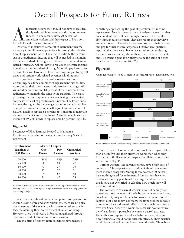# Overall Prospects for Future Retirees

mericans believe they should not have to face drastically reduced living standards during retirement. Indeed, in one recent survey 70 percent of American workers said they expect to live a comfortable lifestyle during retirement.<sup>51</sup>

One way to measure the amount of retirement income necessary to fulfill these expectations is through the calculation of replacement ratios. These ratios indicate the percentage of preretirement income that will be needed to maintain the same standard of living after retirement. In general, most retired Americans will not have to replace their entire income to maintain their standard of living. Most will pay lower taxes because they will have no, or lower, earnings subject to payroll taxes, and certain work-related expenses will disappear.

Georgia State University, in collaboration with Aon Consulting, has done a number of replacement rate studies. According to their most recent study, workers retiring at 65 will need between 67 and 84 percent of their income before retirement to maintain the same living standard. The exact percentage depends upon whether one is single or married, and varies by level of preretirement income. The lower one's income, the higher the percentage that must be replaced. For example, a two-earner couple with a joint annual income of \$20,000 needs to replace 84 percent of its income to maintain its preretirement standard of living. A similar couple with an income of \$90,000 needs to replace only 67 percent (fig. 34).

## **Figure 34**

Percentage of Final Earnings Needed to Maintain a Preretirement Standard of Living During the Early Years of Retirement

| Preretirement<br>Earnings in<br>1997 Dollars | <b>Married Couples</b><br>One<br>Earner | Two<br><b>Earners</b> | Unmarried<br><b>Workers</b> |
|----------------------------------------------|-----------------------------------------|-----------------------|-----------------------------|
| 20,000                                       | 84%                                     | 84%                   | 79%                         |
| 25,000                                       | 80                                      | 80                    | 77                          |
| 30,000                                       | 77                                      | 77                    | 76                          |
| 40,000                                       | 72.                                     | 72                    | 71                          |
| 50,000                                       | 69                                      | 67                    | 68                          |
| 90,000                                       | 71                                      | 67                    | 75                          |

*Source:* Data presented by Fred Munzenmaier, Aon Consulting, at the Enrolled Actuaries Meeting, March 15, 1997, from a joint Georgia State University and Aon study, publication forthcoming through GSU.

Since there are almost no data that permit comparisons of income levels before and after retirement, there are no objective measures of the extent to which current retirees are, in fact, maintaining their preretirement standard of living. However, there is subjective information gathered through questions asked of retirees in national surveys.

The majority of current retirees seem to have achieved

something approaching the goal of preretirement income replacement. Nearly three-quarters of retirees report that they are confident they will have enough money to live comfortably throughout retirement. They also report that they have enough money to live where they want, support their leisure, and pay for their medical expenses. Finally, three-quarters reported that they were able to live as well or better during the previous year as they did in their first year of retirement, and 70 percent expect their lifestyle to be the same or better over the next several years (fig. 35).

## **Figure 35**



Confidence Expressed by Retirees in Specific Aspects of Retirement, 1996

*Source:* Annual Retirement Confidence Survey, Matthew Greenwald and Associates, October 1996.

But retirement has not worked out well for everyone. More than one in five said their lifestyle is worse than when they first retired. Similar numbers expect their living standard to worsen soon (fig. 36).

Current workers, like current retirees, have a high level of confidence. Three-quarters are confident about their retirement income prospects. Among these, however, 30 percent have nothing saved for retirement. Most workers have not developed a saving plan based on a target, and nearly twothirds have not even tried to calculate how much they will need for retirement.

The confidence of current workers may not be fully warranted. As most members of the baby boom generation know, Social Security may not be able to provide the same level of support as it does today. For many, the impact of those reductions would have a dramatic effect on how much they need to save. For Social Security, a worst-case scenario would reduce benefits to levels supportable by current payroll tax rates. Under this assumption, the oldest baby boomers, who are now turning 52, would not be seriously affected. Their benefits would be only 4 to 7 percent lower than otherwise. Those born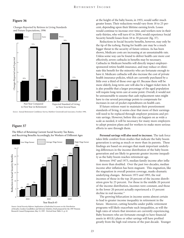### **Figure 36**

Changes Reported by Retirees in Living Standards and Future Expectations, 1996



*Source:* Annual Retirement Confidence Survey, Matthew Greenwald and Associates, October 1996.

## **Figure 37**



The Effect of Retaining Current Social Security Tax Rates, and Receiving Benefits Accordingly, for Workers of Different Ages

*Source: Social Security Reform: Implications of Individual Accounts on the Distribution of Benefits*, Gordon Goodfellow and Sylvester Schieber, Draft prepared for the 1997 Pension Research Council Symposium, May 12, 1997. Derived from Table 11, p. 43.

at the height of the baby boom, in 1955, would suffer much greater losses. Their reductions would vary from 18 to 25 percent, depending upon their lifetime earning levels. Losses would continue to increase over time, and workers now in their early thirties, who will turn 65 in 2030, would experience Social Security benefit losses from 18 to 30 percent (fig. 37).

Reductions in Social Security benefits, however, may only be the tip of the iceberg. Paying for health care may be a much bigger threat to the security of future retirees. As has been shown, Medicare costs are increasing at an unsustainable rate. Unless some way can be found to deliver health care more cost effectively, severe cutbacks in benefits may be necessary. Cutbacks in Medicare benefits will directly impact employersponsored retiree health insurance, and may reduce or eliminate this benefit for the minority who are fortunate enough to have it. Medicare cutbacks will also increase the cost of private health insurance policies, which are currently purchased by a little over a third of those over age 65. Because there will be more elderly, long-term care will also be a bigger-ticket item. It is also possible that a larger percentage of the aged population will require long-term care at some point. Overall, it would not be unreasonable to assume that cash replacement rates might have to rise several percentage points to compensate for increases in out-of-pocket expenditures on health care.

If future retirees want to maintain their preretirement standards of living, it seems clear that more of their earnings will need to be replaced through employer pensions and private savings. However, before this can happen on as wide a scale as needed, it will be necessary for many more employers to adopt pension plans and for workers to make more serious efforts to save through them.

**Personal savings will also need to increase.** The task force takes little comfort from studies that indicate the baby boom generation is saving as much or more than its parents. These findings are based on averages that mask important underlying differences in the income distribution of the baby boom generation and are likely to generate greater income inequality as the baby boom reaches retirement age.

Between 1947 and 1973, median family income after inflation more than doubled. Over the past two decades, median income after inflation has been stagnant. This stagnation, like the stagnation in overall pension coverage, masks dramatic underlying changes. Between 1973 and 1993, the real incomes of those in the top 20 percent of the income distribution grew by 25 percent. For those in the middle 20 percent of the income distribution, incomes were constant, and those in the lower 20 percent actually experienced a 15 percent decline in real income.<sup>52</sup>

The growing bifurcation in income seems almost certain to lead to greater income inequality in retirement in the future. Moreover, cutting benefits under public retirement programs will likely exacerbate such inequalities, as will the high rates of return that investors are currently experiencing. Baby boomers who are fortunate enough to have financial assets in 401(k) plans or other savings will have profited greatly from the high real returns of the past decade. Younger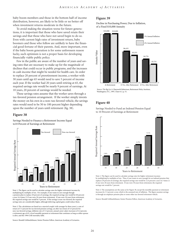baby boom members and those in the bottom half of income distribution, however, are likely to be little or no better off when investment returns moderate in the future.

To avoid making the situation worse for future generations, it is important that those who have saved retain their savings and that those who have not saved begin to do so. Even with current high rates of investment return, baby boomers and those who follow are unlikely to have the financial good fortune of their parents. And, more important, even if the baby boom generation is for some unforeseen reason lucky, such optimism is not a proper basis for developing financially viable public policy.

Few in the public are aware of the number of years and saving rates that are necessary to make up for the magnitude of declines that could occur in public programs, and the increases in cash income that might be needed for health care. In order to replace 20 percent of preretirement income, a worker with 30 years until age 65 would need to save 5 percent of income each year. If the worker had 20 years until retiring at 65, the required savings rate would be nearly 9 percent of earnings. At 10 years, 20 percent of earnings would be needed.

These savings rates assume that the worker saves through a tax-favored pension arrangement. If the worker simply invests the money on his own in a non–tax-favored vehicle, the savings rates would need to be 50 to 100 percent higher depending upon the number of years until retirement (fig. 38).

#### **Figure 38**

Savings Needed to Finance a Retirement Income Equal to10 Percent of Earnings at Retirement



Note 1: The figure can be used to calculate savings rates for higher retirement incomes by multiplying by multiples of ten. For example, if one wants to save enough though a pension plan to replace 20 percent of earnings, the required savings rate would be 8.8 percent a year (4.4 times 2) if one were 20 years from retirement. If one were 30 years from retirement, the required savings rate would be 5 percent. If the savings is non–tax-favored, the required savings rates are considerably higher, although deferring capital gains could reduce them.

Note 2: The calculations are based on a married couple (wife younger by three years), a rate of return of 7.5 percent for tax-favored pension savings, an after-tax return of 4.5 percent for non–tax-favored savings, inflation rate of 3.5 percent, annual career salary increases of 4.4 percent, a retirement age of 65, a level monthly payment at retirement that continues as long as either spouse is alive, and the 1994 GAR mortality table.

Source: Ronald Gebhardtsbauer, Senior Pension Fellow, American Academy of Actuaries.

## **Figure 39**

Decline in Purchasing Power, Due to Inflation, of a Fixed \$10,000 Annuity



*Source: The Big Lie*, A. Haeworth Robertson, Retirement Policy Institute, Washington, D.C., 1997, Chart 6.3, p. 51.

## **Figure 40**

Savings Needed to Fund an Indexed Pension Equal to 10 Percent of Earnings at Retirement



Note 1: The figure can be used to calculate savings rates for higher retirement incomes by multiplying by multiples of ten. Thus, if one wants to save enough for an indexed pension that replaces 20 percent of earnings, the required savings rate would be 12.6 percent a year (6.3 times 2) if one were 20 years from retirement. If one were 30 years from retirement, the required savings rate would be 7 percent.

Note 2: The assumptions are the same as for Figure 38, except the monthly payment at retirement increases by 3.5 percent a year, which is the assumed rate of inflation. The figure assumes savings is through an employer pension plan or some other tax-favored retirement vehicle.

Source: Ronald Gebhardtsbauer, Senior Pension Fellow, American Academy of Actuaries.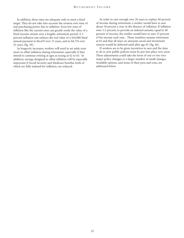In addition, these rates are adequate only to meet a fixed target. They do not take into account the erosion over time of real purchasing power due to inflation. Even low rates of inflation like the current ones can greatly erode the value of a fixed-income stream over a lengthy retirement period. A 3 percent inflation rate reduces the real value of a \$10,000 fixed annual payment to \$6,419 over 15 years, and to \$4,776 over 25 years (fig. 39).

As longevity increases, workers will need to set aside even more to offset inflation during retirement, especially if they intend to continue retiring at ages as young as 62 to 65. In addition, savings designed to offset inflation will be especially important if Social Security and Medicare benefits, both of which are fully indexed for inflation, are reduced.

In order to save enough over 20 years to replace 40 percent of income during retirement, a worker would have to save about 18 percent a year in the absence of inflation. If inflation were 3.5 percent, to provide an indexed annuity equal to 40 percent of income, the worker would have to save 25 percent of his income each year. These numbers assume retirement at 65 and that all taxes on amounts saved and investment returns would be deferred until after age 65 (fig. 40).

If workers are to be given incentives to save and the time to do it, new public policies must be put into place very soon. These adjustments could take the form of one or two very major policy changes or a larger number of small changes. Available options, and some of their pros and cons, are addressed below.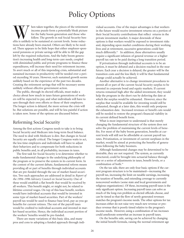# Policy Options

When taken together, the pieces of the retirement income puzzle form a potentially bleak picture for the baby boom generation and those who follow. The growth in real Social Security benefits is unlikely to be sustained at income puzzle form a potentially bleak picture for the baby boom generation and those who follow. The growth in real Social Security bentions have already been enacted. Others are likely to be needed. There appears to be little hope that either employer-sponsored pensions or private savings will be able to fill the gap left by the required reductions. And the baby boom generation's increasing health and long-term-care needs, coupled with diminished public and private programs to finance these expenditures, will increase their need for retirement income. To avert much or all of this impending crisis, substantial and sustained increases in productivity will be needed over a period exceeding 30 years. However, such sustained growth seems unlikely based on the experience of the past two decades. Creating the retirement savings that will be necessary seems unlikely without effective government action.

The public, through its elected officials, must make a choice about how much in taxes future generations of workers will be expected to pay, and what individuals will have to save through their own efforts or those of their employers. The longer action is delayed, the more serious the crisis will be. But solutions are possible, and will be less painful if action is taken now. Some of the options are discussed below.

## Reforming Social Security

Among the first actions Congress needs to take is to bring Social Security and Medicare into long-term fiscal balance. The need to deal with Medicare is dire. But changes in Social Security are equally critical. The longer Congress waits to act, the less time employers and individuals will have to adjust their behaviors and to compensate for both reductions in public benefits and, in all probability, increases in taxes.

The first task for Social Security is to determine whether to make fundamental changes in the underlying philosophy of the program or to preserve the system in its current form. In the context of the current debate, fundamental reform means providing all or part of benefits through individual accounts that are pre-funded through the use of market-based securities. Two such approaches are addressed in detail in *Report of the 1994–1996 Advisory Council on Social Security*. One of these would establish a flat benefit that would be received by all workers. This benefit might, or might not, be related to lifetime-covered wages. On top of this base benefit, workers would have individual accounts that would be invested in some type of market-based securities. Part of the workers' payroll tax would be used to finance base-level, pay-as-you-go benefits for current retirees. The rest of the payroll taxes would be credited to individual accounts and invested in market-based securities. Hence, the individual account portion of the workers' benefits would be pre-funded.

There are many variations of this basic idea, and many pros and cons to adopting a funded approach through individual accounts. One of the major advantages is that workers in the future would receive investment returns on a portion of their Social Security contributions that reflect returns in the private investment market. A major downside of these options is that workers would be exposed to investment risks and, depending upon market conditions during their working lives and at retirement, successive generations could fare much differently.<sup>53</sup> In addition, these alternatives usually require a significant infusion of general revenue or a higher payroll tax rate to be paid during a long transition period.

If privatization through individual accounts is to be an option, it must be debated and a decision reached in the near future. Each year a decision is delayed, the greater will be the transition costs and the less likely it will be that fundamental change could actually be achieved.

Another alternative is to change investment procedures to permit all or part of the current Social Security surplus to be invested in corporate bond and equity markets. If current returns remained high after the added investment, they would help the program in the short run by deferring the date at which the surplus would be exhausted. However, since the surplus that would be available for investing would still be exhausted, though at a later date, this would only postpone the exhaustion date. Increased revenues or benefit cuts would still be needed to restore the program's financial viability in its current defined benefit form.

What is most important to understand is that merely changing the fundamental structure of the system does not solve the problem of maintaining the current levels of benefits. For most of the baby boom generation, benefits at current levels will still not be affordable at current payroll tax rates. Privatization, or investment of current surpluses in the market, would be aimed at protecting the benefits of generations following the baby boomers.

Although fundamental changes may be determined to be desirable, they are not required. The system, as currently structured, could be brought into actuarial balance through one or a series of adjustments in taxes, benefit levels, or a combination of both.<sup>54</sup>

On the tax side, there are only four basic options if the current program structure is to be maintained—increasing the payroll tax, increasing the limit on taxable earnings, increasing the taxation of benefits, and extending coverage to currently noncovered workers (some state and local governments and religious organizations). Of these, increasing payroll taxes is the only significant option. Increasing payroll taxes can solve as much of the long-run problem as elected officials choose, and can be timed so that the flow of newly generated revenues matches the program's income needs. The other options for tax increases either do not raise very much new revenue or produce revenue that is poorly timed relative to the program's income needs. However, using a combination of tax increases could ameliorate somewhat an increase in payroll taxes.

On the benefits side, saving can be achieved by changing the initial benefit formula, raising the normal retirement age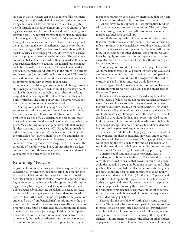(the age at which workers can begin to receive full retirement benefits), raising the early eligibility age, and reducing cost-ofliving adjustments. Like payroll-tax increases, changing the benefit formula can produce almost any desired amount of savings, and changes can be timed to coincide with the program's revenue needs. The normal retirement age is already scheduled to increase gradually to 67 after the turn of the century. The timing of these increases could be accelerated, or the age could be raised. Raising the normal retirement age to 70 for those reaching that age in 2037 and later would solve about half of Social Security's long-range problem. Moreover, such changes track the program's financial needs quite well. The reductions are substantial and occur just when they are needed. It has also been suggested that, once adjusted, the normal retirement age could be indexed to life expectancy. This would tend to depoliticize retirement age adjustments in the future. The earliest entitlement age (currently 62) could also be raised. This would save additional income, and would be reasonable if health status improves along with increases in longevity.

Reducing cost-of-living adjustments would bring considerable savings. For example, a reduction of 1 percentage point would eliminate about one-half to two-thirds of the longrange deficit depending on the interaction with other economic variables. The timing of savings, however, would not track the program's revenue needs very well.

Other options include financing Social Security from general revenues and means testing. General revenue financing, like increases in payroll taxes, could solve as much of the problem as elected officials determine is needed. However, this would compromise the principle of a self-supporting program. Means testing could also generate substantial savings (in theory, as much as one wanted). Using this approach to reduce higher income groups' benefits would tend to erode the principle of an "earned right" to benefits and make the program seem more like welfare. Moreover, means testing could have counterproductive consequences. Those near the threshold of eligibility would have an incentive to save less, consume more, or otherwise manipulate income and assets to gain access to the means-tested benefits.

## Reforming Medicare

Adjustments and restructuring will also be required to avoid a succession of Medicare crises, and to bring the program into financial equilibrium over the longer haul. As with Social Security, a range of options exists. However, in addition to raising revenues or curtailing benefits, the options include improving efficiency by changes in the delivery of health care, and doing a better job of targeting tax dollars to needed services.

Options for raising revenues are fewer than for Social Security. For SMI, which is supported partly from general revenues and partly from beneficiaries' premiums, only the premiums can be raised. The premiums, currently 25 percent of program costs, could be increased or, at a minimum, indexed to maintain the current percentage. Raising the SMI premium would, of course, absorb retirement income from other sources and, thus, reduce retirement income security overall. This is one among many possible examples of how programs

to support retirement are so closely interrelated that they can no longer be considered in isolation from each other.

General revenues to support SMI are automatically adjusted to pay what is not covered by premiums. The only other revenue-raising possibility for SMI is to impose a new earmarked tax, such as a payroll tax.

For HI, the average value of benefits could be taxed, since that value really does constitute income. This would raise significant revenue. Many beneficiaries would pay the tax out of their Social Security income, just as they do their SMI premiums. In the absence of other changes, this proposal would likely be highly controversial. For example, workers are not currently taxed on the portion of their health insurance paid by their employers.

Another option would be to raise the HI payroll tax rate. An immediate increase of 0.7 percent on both employees and employers (a combined tax rate of 4.3 percent, compared with today's 2.9 percent) would fund the program for the next 25 years. At the end of that time, rates would have to be increased again. Unlike taxing benefits, this option places the burden on younger workers, who will pay the higher tax for the entire 25 years.

There is a wider range of options for reducing benefit payments, several of which would not require reducing covered services. The eligibility age could be increased to 67, in the same manner as is already scheduled for Social Security. This would eliminate a small amount of the deficit. Increasing the age to 70 would eliminate a significant portion of the shortfall.<sup>55</sup> It could also lead to precipitous declines in employer-provided retiree health insurance. To accommodate those who retired before the higher eligibility age, either out of necessity or desire, Medicare buy-ins could be permitted beginning at a set age.

Beneficiaries could be asked to pay a greater portion of the cost by increasing their deductibles. However, under current law, that would likely raise the cost of Medigap policies, which would pick up the extra deductibles and co-payments. As a result, this would have little impact on utilization for the over 80 percent of Medicare eligibles with Medigap coverage.

Congress could continue to reduce payment rates to providers, as has been done in the past. These would have to be carefully structured to ensure that providers could not largely avoid the reduction through unbundling of services and other practices that have limited the effectiveness of such changes in the past. Permitting hospital reimbursement to grow at only 1 percent a year (less than inflation) for the next 25 years would be sufficient to keep the HI program solvent for that period.<sup>56</sup> Such a change would probably be consistent with the practices of other payers, who are using their market power to reduce their hospital reimbursements. However, unlike other payers, the government might be accused of forcing lower-quality care on the Medicare population.

There is also the possibility of cutting back some covered services. This could solve a significant part of the cost problem, if services of a long-term-care nature and SMI payments for durable medical equipment were reduced. However, in eliminating covered services, as well as in making other types of changes, it is important to consider the effect on other sources of payment. In the case of long-term-care services, eliminating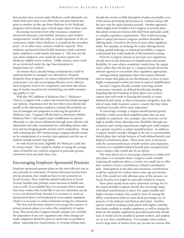that portion now covered under Medicare could ultimately constitute little more than a cost shift from one government program to another, in this case from Medicare to the Medicaid program, which already pays a much larger share of these costs.

Increasing recoveries from other insurance (employersponsored insurance, auto liability insurance, and workers compensation) would also help, as would expansion of the circumstances under which Medicare is considered the secondary payer. As in other areas, caution would be required. Were employer-sponsored retiree health insurance made a primary payer, employers could merely eliminate it. This was not the case when employers were made the primary payers for Medicare-eligible active workers. Unlike retirees, active workers are protected under the Age Discrimination in Employment Act (ADEA).

An avenue that is already being considered but could be explored further is managed care alternatives. Properly designed, these programs can reduce utilization by eliminating unnecessary care and encouraging efficient service delivery. Such programs need to be competitive, and must take advantage of market incentives for minimizing cost while monitoring quality of care.

With the 1997 addition of Medicare Part C (Medicare+ Choice), Congress took a major step toward increasing managed care options. Experience over the next three years should add greatly to the information needed to evaluate the probable success of managed care programs in reducing the growth in Medicare costs. Congress will also have to determine whether Medicare Part C will require major modification to operate effectively or only minor refinement through more effective risk adjustment and other mechanisms for controlling adverse selection and encouraging greater private-sector competition. Along with evaluating the 1997 restructuring, Congress should continue its consideration of a voucher-type approach and the use of medical savings account-type plans.

As with Social Security, eligibility for Medicare could also be means-tested. This would be similar to taxing the average value of benefits but could be targeted at particular groups somewhat more precisely than a tax.

## Encouraging Employer-Sponsored Pensions

Employer-sponsored pension plans are the most effective way to save privately for retirement. If retirees had more income from private pensions, they would not have to rely as heavily on Social Security. They could thus absorb reductions in Social Security benefits and, perhaps, some increases in health care costs as well. To accomplish this, it is necessary first to ensure that every worker who would like to save for retirement can do so on a tax-favored basis. Second, it is necessary to create an environment that is not burdened by overcomplex regulation. Third, it is necessary to retain retirement savings for retirement.

The first and foremost option to encourage the creation of private pension plans is to reduce the complexity of regulations. This means that Congress should consider very carefully the imposition of any new regulation and, when changes are made, employers should be given as much time as possible to adjust. Imposing new requirements, or revising existing ones,

should also involve as little disruption of plans as possible, even if this means permitting old practices to continue along with the new ones for quite extensive periods. Another approach, which might prove fruitful, is for Congress to provide plans that adopt certain provisions with relief from particular costly or complex regulatory requirements. This would encourage plans to adopt provisions Congress considers desirable by offering them a reward in the form of some other regulatory relief. For example, in exchange for a plan offering shorter vesting, partial indexing, or enhanced portability, Congress could permit less costly methods of discrimination testing.

However Congress chooses to proceed, new regulations should move in the direction of simplification and greater flexibility. In cases where complexity results from the regulations, rather than the law per se, Congress should advise the relevant agencies to reconsider their regulatory approaches.

Among existing regulations, those that require elaborate tests to ensure that plans do not discriminate in favor of more highly compensated workers are most in need of simplification.

Second, Congress should consider removing current unnecessary restraints on defined benefit plan funding. Impeding the level funding of these plans over workers' careers may well result in freezing the benefits in many defined benefit plans, or their termination altogether, near the end of many baby boomers' careers—exactly the time when continued accruals will be most important.

To encourage coverage, Congress should permit greater flexibility within prescribed simplified plans that are now available to employers. For example, since turnover can be high in smaller firms, allowing some flexibility through participation and vesting requirements might give small employers a greater incentive to adopt simplified plans. In addition, Congress should consider changes in the law to accommodate hybrid plans that include features of both defined benefit and defined contribution plans. These seem more in harmony with the current preferences of both workers and employers. Creation of a simplified defined benefit plan exempted from most complex rules would also be an option.

The most direct way to encourage employers to adopt pension plans is to mandate them. Congress could consider requiring all employers above a certain very small size to offer their workers at least a contributory defined contribution plan. Participation in the plan and minimum contributions could be required for workers above some age and income level. This would not only alleviate some of the pressure on Social Security, but might be especially helpful to women.

More plans would mean more retirement savings, but to the extent possible Congress should also encourage larger individual contributions to plans. For upper-middle-andhigher-income workers, this could be done by raising the 40l(k) contribution limit to some fixed percentage, say 50 percent, of the defined contribution plan limit. Another option would be making simple plans with higher contribution limits available to smaller employers, as well as raising the limits on the simpler, legislatively prescribed plans that already exist. It would even be possible to permit workers, and employers, to vary their contributions. For example, when workers receive large sums of money from, say, income tax returns, they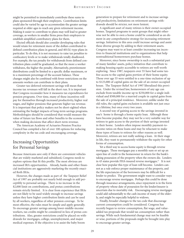might be permitted to immediately contribute these sums to plans sponsored through their employers. Contribution limits could also be varied by age to accommodate the greater savings required at older ages to reach any given retirement income. Making it easier to contribute to plans may well lead to greater coverage, as workers in smaller firms press their employers to establish simplified contributory plans for them.

Elected officials should also consider developing rules that would retain for retirement more of the dollars contributed to defined contribution plans in general, and 401(k)-type plans in particular. To do this, it is not necessary to raise tax penalties to confiscatory levels or to make withdrawals totally disallowed. For example, the tax penalty for withdrawals from defined contribution plans could be graduated, so that the more a worker withdraws, the higher the penalty. Alternatively, preretirement distributions could be limited to a specific dollar maximum, or to a maximum percentage of the account balance. These changes might also be combined with fewer restrictions on the amounts workers can contribute to their plans.

Greater tax-deferred retirement savings will mean that income tax revenues will fall in the short run. It is important that Congress reconsider how it measures tax expenditures for pension programs. Over time, many of these incentives will pay for themselves through increased productivity, higher real wages, and higher pensions that generate higher tax revenue. It is important that policy makers not be short-sighted when estimating the budget impacts of long-term savings programs. Methodologies should be considered that would measure the value of future tax flows and other benefits to the economy when making decisions that affect short-term revenue.

The American Academy of Actuaries Pension Practice Council has compiled a list of over 100 options for reducing complexity in the tax code and encouraging coverage.

## Increasing Opportunities for Personal Savings

Because Americans save only if there are convenient vehicles that are widely marketed and subsidized, Congress needs to explore options that fit this profile. The most obvious are increased IRA opportunities. Already, banks and other financial institutions are aggressively marketing the recently enacted Roth IRAs.

However, the changes made as part of the Taxpayer Relief Act of 1997 are probably not nearly bold enough to add perceptibly to personal savings. There is no increase in the \$2,000 limit on contributions, and pretax contributions remain strictly limited. It is clear from experience that IRAs are not likely to be used widely enough to increase savings unless they have higher contribution limits and can be used by all workers, regardless of other pension coverage. To be most effective, the rules must be simple and apply generally. To encourage greater savings among lower-middle-income workers, tax credits might be considered in lieu of pretax contributions. Also, greater restrictions could be placed on withdrawals for mortgages, college, unemployment, and major medical expenses. If the objective is to assist the baby boom

generation to prepare for retirement and to increase savings and productivity, limitations on retirement savings withdrawals should be stricter, not more lenient.

A significant asset of many retirees is their owner-occupied homes. Targeted programs to assist groups that might otherwise not be able to own a home could be considered as an element in any comprehensive strategy for increasing retirement savings. Initiatives in this area could increase savings and assist these diverse groups by adding to their retirement assets. Congress may want to at least consider increasing tax incentives to financial institutions and to organizations that help nontraditional homeowners purchase homes.

Moreover, since home ownership is such a substantial part of many families' assets, policy initiatives that contribute to making housing equity accessible to retirees are well worth exploring. Since 1987, taxpayers over 55 have had some taxfree access to the capital gains portion of their home equity. Those over age 55 were entitled to a one-time exclusion of up to \$125,000 of capital gains on the sale of an owner-occupied house. The Taxpayer Relief Act of 1997 liberalized this provision. Under the revised law, homeowners of any age can exclude from taxable income up to \$250,000 for a single individual and \$500,000 for a married couple in capital gains from the sale of a principal residence. Moreover, unlike under the old rules, the capital gains exclusion is available not just once in a lifetime, but once every two years.

A second way of gaining access to the savings invested in one's home is through a home equity loan. Although these have become popular, they may not be a very suitable way for retirees to gain access to the portion of their savings invested in their home. Lenders often impose monthly payment-toincome ratios on these loans and may be reluctant to make these types of loans to retirees for other reasons as well. Moreover, retirees are not really seeking a loan. At their stage in life, they want to permanently withdraw the equity for other forms of consumption.

Yet a third way to access home equity is through reverse mortgages. These mortgages pay a monthly sum or set up an open line of credit to the homeowner in return for the bank's taking possession of the property when the owners die. Lenders in 43 states provide FHA-insured reverse mortgages.<sup>57</sup> It is not clear how popular this type of loan will become. Lenders cannot as a rule enforce proper maintenance of the property, and the life expectancies of the borrowers may be difficult for a lender to predict. The government might want to consider ways to encourage reverse mortgages. Perhaps this could be done through insurance arrangements, since repayment is in the form of property whose date of possession for the lender/insurer is uncertain due to mortality risk. Encouraging reverse mortgages could add substantially to the cash income of many of the elderly, and might be especially helpful to widows.

Finally, broader changes to the tax code that discourage current consumption could be considered. Congress has recently begun to review consumption, flat wage, and valueadded tax proposals that would tax consumption rather than savings. While such fundamental change may not be feasible or wise, portions of the proposals might be brought into play to encourage greater savings.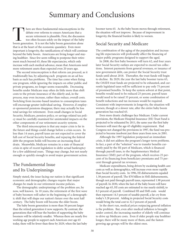# Summary and Conclusions

There are three fundamental misconceptions in the debate over reforms to ensure Americans that a secure retirement is plausible. First, the discussion too often focuses solely on the impact of the baby boom generation. It debate over reforms to ensure Americans that a secure retirement is plausible. First, the discussion too often focuses solely on the impact of the baby that is at the heart of the economic quandary. Even more important is longevity, the ramifications of which will continue beyond the baby boom. Americans are living longer and staying healthier. Since few seem willing to postpone their retirement much beyond 65, these life expectancies, which only increase with each medical advance, mean that Americans need more retirement assets than expected even 20 years ago.

The second misconception is that reform can proceed, as it traditionally has, by adjusting each program on an ad hoc basis as each has problems. The time has come when fixing one program, while ignoring the impacts on other public and private programs, no longer seems reasonable. Decreasing benefits under Medicare may often do little more than shift costs to the private insurance of the elderly and, in the process, may even increase, rather than reduce, overall costs. Switching from income-based taxation to consumption taxes will encourage greater individual saving. However, if employer-sponsored pensions disappear, there may actually be less total savings for retirement. Even small changes in Social Security, Medicare, pension policy, or savings-related tax policy must be carefully examined for unintended impacts on the other components of our retirement security systems.

The third misconception is that any major crisis is far in the future and things could change before a crisis occurs. In less than 14 years, payroll taxes are not expected to cover the full cost of Social Security benefits, and repaying the federal debt the program holds will become an increasing fiscal drain. Meanwhile, Medicare remains in a state of financial crisis in spite of recent legislation to defer actual bankruptcy for a few additional years. Things may change, but not nearly enough or quickly enough to avoid major government action.

## The Fundamental Issue and Its Underpinnings

Simply stated, the issue facing our nation is that significant economic and demographic changes require that major changes be made in our retirement income policies.

The demographic underpinnings of the problem are, by now, well known. In 10 years, the retirement of the first wave of baby boomers will usher in the beginning of a demographic shift that will shape our nation's future over the next half century. The baby boom will become the elder boom.

The baby boom generation is more than 50 percent larger than the retired generation it now supports. By contrast, the generations that will bear the burden of supporting the baby boomers will be relatively smaller. Whereas there are nearly five working-age people to support each American over age 65 today, there will be fewer than three by 2029, when the last baby

boomer turns 65. As the baby boom moves through retirement, the situation will not improve. Because of improvement in longevity, the financial burden is likely to worsen.

## Social Security and Medicare

The combination of the aging of the population and increasing life expectancies will profoundly affect the financing of major public programs designed to support the aged.

In 2008, the first baby boomers will turn 62, and four years later Social Security outlays are expected to exceed tax collections. Interest payments from general revenues, or issuance of new government debt, can protect the Social Security trust funds until about 2018. Thereafter, the trust funds will begin to decline. By 2029, the year the last baby boomer turns 65, the OASDI trust funds are projected to be exhausted, and currently legislated taxes will be sufficient to pay only 75 percent of promised benefits. To keep the system solvent at that point, benefits would need to be reduced 25 percent, payroll taxes would need to be raised 33 percent, or some combination of benefit reductions and tax increases would be required. Consistent with improvements in longevity, the situation will worsen, though at a slower rate, after the entire baby boom generation has reached 65.

Even more drastic challenges face Medicare. Under current provisions, the Medicare Hospital Insurance (HI) Trust Fund is projected to be exhausted by 2011, the same year the first baby boomers will meet the age-65 eligibility requirement. Had Congress not changed the provisions in 1997, the fund was projected to become insolvent just three years from now, in 2001.

Although the 1997 legislation postponed an immediate crisis, it did not address the program's longer-term problems. In fact, a part of the "solution" was to transfer benefits currently paid by the HI part of Medicare, which is financed through payroll taxes, to the Supplementary Medical Insurance (SMI) part of the program, which receives 25 percent of its financing from beneficiary premiums and 75 percent through general tax revenues.

Medicare expenditures, being driven by escalating health care costs as well as demographics, will increase even more rapidly than Social Security costs. In 1996, HI disbursements equaled 1.38 percent of payroll. The \$70 billion in SMI disbursements, though not paid through payroll taxes, represented 1.90 percent of payroll. In 2030, when the last of the baby boom will have reached age 65, HI costs are estimated to rise nearly sixfold, to 8.3 percent of payroll. Combined HI and SMI costs would then represent 14.5 percent of taxable payroll, a far cry from today's 3.28 percent. Adding in projected Social Security costs would bring the total cost to 32.3 percent of payroll.

In the short run, medical prices outpacing general inflation is the problem. But, even after medical inflation is brought under control, the increasing number of elderly will continue to drive up Medicare costs. Even if older people stay healthier longer, there will be many more of them, and the fastestgrowing age groups will be the oldest ones.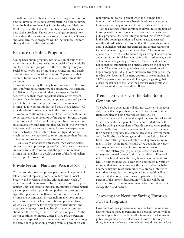Without severe cutbacks in benefits or major infusions of new tax revenue, the federal government will need to devote its entire budget to financing Social Security and Medicare. While that is unthinkable, the numbers illustrate the seriousness of the problem. Unless policy changes are made now that address the long-term increasing costs of Social Security and Medicare, these programs will be increasingly unaffordable by the end of the next decade.

## Reliance on Public Programs

Scaling back public programs has serious implications for Americans at all income levels, but especially for the middleand lower-income groups. Two-thirds of the aged rely on Social Security for half or more of their income, and nearly one-third count on Social Security for 90 percent of their income. In the area of health insurance, Medicare is also paramount.

Workers, including the baby boom, are aware of the problems confronting our major public programs. For example, in 1996, only 10 percent said that they expected Social Security to be their most important source of retirement income. Over 50 percent expect employer-sponsored pension plans to be their most important source of retirement income. Eighty percent understand that Social Security will provide relatively lower benefits in the future than today.

Workers are also optimistic about their retirement. About 90 percent want to retire at or before age 65. Seventy percent expect to be able to live comfortably, and two-thirds or more are at least fairly confident that they will be able to live where they want and have enough money for medical expenses and leisure activities. Yet two-thirds have not figured out how much money they may need to retire, and more than four out of ten do not save regularly for retirement.

Realistically, what are the prospects when viewed against current trends in private programs? Can the private resources currently available to workers fill the gaps in retirement income that are likely to develop as part of the fiscal realignment of public programs?

## Private Pension Plans and Personal Savings

Current trends show that private pensions will help but will fall far short of replacing potential reductions in Social Security and Medicare benefits. Although nearly half of American workers are covered by private pensions, this percentage is not expected to increase. Traditional defined benefit pension plans, which provide comprehensive coverage but typically replace no more than a third of preretirement income, are becoming an increasingly smaller portion of private pension plans. Defined contribution pension plans, which usually provide lower employer contributions (and thus lower employer-provided benefits), now account for about half the coverage under private pension plans. As the system continues to mature under ERISA, private pension benefits are expected to become much more common among the baby boom generation, growing from 30 percent for cur-

rent retirees to over 80 percent when the younger baby boomers retire. However, real benefit levels are not expected to increase, so many retirees will receive only small benefits.

Personal savings, if they continue at current rates, are unlikely to compensate for even moderate reductions in benefits from public programs. One recent study indicated that in 1989, those in the baby boom generation had accumulated greater real wealth and had higher real incomes than their parents at similar ages. But, higher real incomes translate into greater retirement income needs and higher expectations later. The important question is: Given the baby boom's higher living standards now and expectations for higher living standards in retirement, is the difference in saving enough? In all likelihood, the difference is not enough to compensate for potential cutbacks in public programs. The personal savings rate has not recovered since it began dropping in 1985. In each successive five-year period, the rate has been lower, and the trend appears to be continuing. In 1997, the personal savings rate decline again, suggesting that during the last half of the 1990s the personal savings rate will sink to yet another post-World War II low.

## Trends Do Not Favor the Baby Boom Generation

The baby boom generation will also not experience the favorable trends that helped their parents. In fact, most of these trends are already being reversed or likely will be.

Baby boomers will not see the rapid increases in real Social Security benefits their parents experienced. Medicare will likely be paying a lower share of health care expenses, perhaps substantially lower. Companies are unlikely to be enriching their pension programs in a competitive global environment. And, finally, the baby boom generation is unlikely to benefit from historically high rates of return as it approaches retirement. In fact, demographics could drive down house values and may reduce real rates of return on other assets.

Even the relatively large pool of potential inheritance money—estimated by one study to total \$10.4 trillion—will not do much to alleviate the baby boomers' retirement problem. The inheritances will occur over a period of 40 years or more, so that any remaining wealth transferred to the baby boomers may not reach them until they are well into retirement themselves. Furthermore, inheritance wealth will be concentrated among the offspring of parents in the top 10 percent of the income distribution. While this will be an important source of retirement income for some, it will not change the broad picture.

## Assessing the Need for Saving Through Private Programs

How much of their preretirement income baby boomers will have to replace through pensions and personal savings will be almost impossible to predict until it is known to what extent public programs will be scaled back. However, future generations, except at the lowest income levels, could need to replace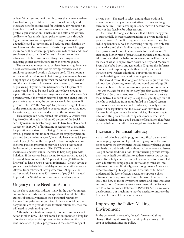at least 20 percent more of their incomes than current retirees have had to replace. Moreover, since Social Security and Medicare benefits are indexed for inflation, any reduction in those benefits will require an even greater level of savings to protect against inflation. Finally, in the health area workers are likely to face much higher private-sector costs through higher premiums for comparable coverage, increased deductibles and co-payments, and reduced subsidization by employers and the government. Costs for private Medigap insurance will be driven up by Medicare reductions, and those employers that currently offer health insurance to their retirees are likely to continue cutting these programs or requiring greater contributions from the retiree group.

The savings rates required to achieve these savings levels can be substantial, even if tax-favored savings vehicles, such as employer-sponsored pension plans, are used. The amount a worker would need to save to last through a retirement beginning at age 65 depends upon when the worker begins saving and the rate of return. At current rates of return, if a worker began saving 20 years before retirement, then 13 percent of wages would need to be saved each year to have enough to replace 20 percent of final earnings, indexed for inflation at 3.5 percent a year. If the worker deferred beginning saving until 10 years before retirement, the percentage would increase to 29 percent. In 1997, the "average" baby boomer is age 40 to 45, so the extra amounts needed to be saved must be started now. Unfortunately, there is no evidence that this is taking place.

This example can be translated into dollars. A worker earning \$40,000 at final salary (about 60 percent of the Social Security maximum taxable wage) would have to replace about 72 percent (\$28,000) of his income at retirement to maintain his preretirement standard of living. If the worker wanted to save 20 percent of this amount through an employer pension plan and began saving at age 45, he would have to save 8.9 percent of pay (\$3,571 in the first year) to have enough in a taxsheltered pension program to provide \$5,760 a year (about \$480 a month) at retirement. The \$5,760 was calculated to include a 3.5 percent annual increase to help keep pace with inflation. If the worker began saving 10 years earlier, at age 35, he would have to save only 5.0 percent of pay (\$2,016 in the first year) to have \$5,760 a year at retirement. Clearly, saving at younger ages is desirable, and delaying saving until after one is 20 years from retirement is very expensive. At age 50, the worker would have to save 13.1 percent of pay (\$5,242 a year) to provide the \$5,760 annuity for himself and his spouse.

## Urgency of the Need for Action

As the above examples indicate, many in the baby boom generation have already reached an age where it would be difficult to substantially increase their potential retirement income from private sources. And, if those who follow the baby boom are to provide more for their retirement, they too will need to begin saving soon.

Although the situation is urgent, it is far from hopeless if action is taken now. The task force has enumerated a long list of options and potential approaches for addressing the current imbalance in public programs and the shortcomings of

private ones. The need to select among these options is urgent because many of the most attractive ones are long term in nature. If not acted upon soon, they will become too costly or less feasible for other reasons.

One reason for long lead times is that it takes many years to substantially increase accumulations of private funds and personal assets. If public programs are to be rebalanced by reducing benefits, as well as increasing funding, it is only fair that workers and their families have a long time to adjust their private asset levels to compensate for the decrease. To encourage higher rates of private savings, then, action should taken soon so that the baby boom generation will have a better idea of what to expect from Social Security and Medicare. Even if the baby boom and generation X ignore this information or do not respond quickly, their employers may, for instance, give workers additional opportunities to save through existing or new pension arrangements.

The second reason that long lead times are required is that, without long phase-ins, many reforms would create large differences in benefits between successive generations of retirees. This was the case for the "notch baby" problem caused by the 1977 Social Security amendments. It would also be the case for initiatives like substantially raising the eligibility age for full benefits or switching from an unfunded to a funded system.

If reforms are not made well in advance, the only avenue open will be legislation that focuses on cash-flow fixes that increase funding or reduce benefits quickly, like increasing tax rates or cutting back cost-of-living adjustments. The 1997 Medicare revisions are a good example of legislation that focuses on cash-flow fixes rather than long-term structural reform.

## Increasing Financial Literacy

As part of bringing public programs into fiscal balance and encouraging expansion of private savings options, the task force believes the government should consider placing greater emphasis on public education about retirement-related issues. Tax policy, the traditional tool for influencing private savings, may not by itself be sufficient to address current low savings rates. To be fully effective, tax policy may need to be coupled with educational campaigns on how savings translate into retirement income. Tragically, even though many Americans expect less from public programs in the future, far fewer understand the level of assets needed to support a given retirement income, how much must be saved to achieve that level, and how to factor investment return and time into asset accumulation. Congress's recent enactment of the Savings Are Vital to Everyone's Retirement (SAVER) Act is a welcome development, but much more may be needed to improve the financial literacy of American families.

## Improving the Policy-Making Environment

In the course of its research, the task force noted three changes that might possibly expedite policy making in the area of retirement income policy.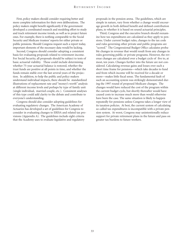First, policy makers should consider requiring better and more complete information for their own deliberations. The policy makers might benefit significantly if the government developed a coordinated research and modeling effort to study and track retirement income trends, as well as to project future ones. For example, there is nothing comparable to the Social Security and Medicare trustees' reports for either private or public pensions. Should Congress request such a report today, important elements of the necessary data would be lacking.

Second, Congress should consider adopting a consistent basis for evaluating proposals related to retirement income. For Social Security, all proposals should be subject to tests of basic actuarial viability. These could include determining whether 75-year actuarial balance is restored, whether the trust funds are positive at all points in time, and whether the funds remain stable over the last several years of the projection. In addition, to help the public and policy makers understand individual impacts, there should be standardized illustrations of replacement rate and "money's worth" analysis at different income levels and perhaps by type of family unit (single individual, married couple, etc.). Consistent analyses of this type could add clarity to the debate and contribute to everyone's understanding.

Congress should also consider adopting guidelines for evaluating regulatory changes. The American Academy of Actuaries has developed a set of guidelines for Congress to consider in evaluating changes to ERISA and related tax provisions (Appendix A). The guidelines include eight criteria that the Academy uses to evaluate legislative and regulatory

proposals in the pension arena. The guidelines, which are simple in nature, vary from whether a change would encourage growth in both defined benefit and defined contribution plans, to whether it is based on sound actuarial principles.

Third, Congress and the executive branch should reexamine how tax expenditures are calculated as they apply to pensions. Under current budget rules, changes to the tax code and rules governing other private and public programs are "scored." The Congressional Budget Office calculates probable changes in revenue that would result from any changes in rules governing public or private programs. However, the revenue changes are calculated over a budget cycle of five to, at most, ten years. Changes further into the future are not considered. Calculating revenue gains and losses over such a short time frame for pensions—which take decades to fund and from which income will be received for a decade or more—makes little fiscal sense. The fundamental fault of such an accounting system was strikingly demonstrated during the 1997 round of proposed Medicare changes. The changes would have reduced the cost of the program within the current budget cycle, but shortly thereafter would have caused costs to increase much more than would otherwise have been the case. The same situation is likely to happen repeatedly for pensions unless Congress takes a longer view of its taxation policies. At best, the current system of calculating so-called tax expenditures is incompatible with a private pension system. At worst, Congress may unintentionally reduce support for private retirement plans in the future and pass on greater tax burdens to future workers.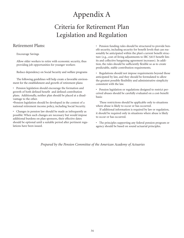# Appendix A

# Criteria for Retirement Plan Legislation and Regulation

## Retirement Plans:

Encourage Savings

Allow older workers to retire with economic security, thus providing job opportunities for younger workers

Reduce dependency on Social Security and welfare programs

The following guidelines will help create a favorable environment for the establishment and growth of retirement plans:

• Pension legislation should encourage the formation and growth of both defined benefit and defined contribution plans. Additionally, neither plan should be placed at a disadvantage to the other.

•Pension legislation should be developed in the context of a national retirement income policy, including Social Security.

• Changes in pension law should be made as infrequently as possible: When such changes are necessary but would impose additional burdens on plan sponsors, their effective dates should be optional until a suitable period after pertinent regulations have been issued.

• Pension funding rules should be structured to provide benefit security, including security for benefit levels that can reasonably be anticipated within the plan's current benefit structure (e.g., cost-of-living adjustments to IRC §415 benefit limits and collective bargaining agreement increases). In addition, the rules should be sufficiently flexible so as to create predictable, stable contribution requirements.

Regulations should not impose requirements beyond those anticipated by law, and they should be formulated to allow the greatest possible flexibility and administrative simplicity consistent with the law.

• Pension legislation or regulations designed to restrict perceived abuses should be carefully evaluated on a cost-benefit basis:

These restrictions should be applicable only to situations where abuse is likely to occur or has occurred.

If additional information is required by law or regulation, it should be required only in situations where abuse is likely to occur or has occurred.

• The principles supporting any federal pension program or agency should be based on sound actuarial principles.

*Prepared by the Pension Committee of the American Academy of Actuaries*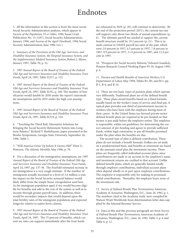# Endnotes

1. All the information in this section is from the most recent Social Security Administration analyses, which appear in *Income of the Population 55 or Older, 1994*, Susan Grad, Publication No. 13-11871, Social Security Administration, January 1996, and *Income of the Aged Chartbook, 1994*, Social Security Administration, June 1996 (rev.).

2. *Summary of the Provisions of the Old-Age, Survivors, and Disability Insurance System, the Hospital Insurance System, and the Supplementary Medical Insurance System*, Robert J. Myers, January 1997, Table 7b, p. 52.

3. *1997 Annual Report of the Board of Trustees of the Federal Old-Age and Survivors Insurance and Disability Insurance Trust Funds*, April 24, 1997, Table II.F17, p. 122.

4. *1997 Annual Report of the Board of Trustees of the Federal Old-Age and Survivors Insurance and Disability Insurance Trust Funds*, April 24, 1997, Table II.H2, p. 160. The number of beneficiaries would double by 2050 under the report's intermediate assumptions and by 2035 under the high cost assumptions.

5. *1997 Annual Report of the Board of Trustees of the Federal Old-Age and Survivors Insurance and Disability Insurance Trust Funds*, April 24, 1997, Table II.F19, p. 124.

6. "Touching the Third Rail: Alternative Solutions for Bringing the Social Security Retirement System into Longterm Balance," Richard V. Burkehauser, paper presented at the Bowles Symposium, Georgia State University, September 26, 1996, Table 1.

7. "Will America Grow Up before It Grows Old?" Peter G. Peterson, *The Atlantic Monthly*, May 1996, p. 70.

8. For a discussion of the immigration assumptions, see *1997 Annual Report of the Board of Trustees of the Federal Old-Age and Survivors Insurance and Disability Insurance Trust Funds*, April 24, 1997, pp. 137-38. The fourfold estimated increase in net immigration is a very rough estimate. If the number of immigrants actually increased to a level of 3.6 million a year, the impact on the Social Security actuarial balance would likely differ from the simple linear extrapolation used here. As the immigrant population aged, it too would become eligible for benefits and add to the cost of the system as well as to income through greater payroll taxes. In addition, there would be secondary impacts that would depend upon the total fertility rates of the immigrant population and expected longevity relative to native-born citizens.

9. *1997 Annual Report of the Board of Trustees of the Federal Old-Age and Survivors Insurance and Disability Insurance Trust Funds*, April 24, 1997. The 75 percent of benefits, which current tax rates can support immediately after the trust funds

are exhausted in 2029 (p. 28), will continue to deteriorate. By the end of the projection period (2071), the current tax rate will support only about two-thirds of annual expenditures (p. 6). The ultimate payroll tax needed to support the current benefit structure would be 19.2 percent (p. 21). This is in stark contrast to OASDI payroll tax rates of the past, which were 2.0 percent in 1937, 4.5 percent in 1957, 7.8 percent in 1967, 9.9 percent in 1977, 11.4 percent in 1987, and 12.4 percent in 1997.

10. "Prospects for Social Security Reform," Edward Gramlich, Pension Research Council Working Paper 95-10, August 1995, p. 6.

11. *Pension and Health Benefits of American Workers*, U.S. Department of Labor, May 1994, Tables B1, B5, and B11, pp. B-1, B-6, and B-16.

12. There are two basic types of pension plans which operate very differently. Traditional plans are of the defined benefit type. These plans award benefits based on a fixed formula, usually based on the worker's years of service and final pay. A typical plan provides one-third of preretirement income to workers who have been with the employer during most of their career. In the United States tax-favored private-sector defined benefit plans are required to be pre-funded, so that money is put aside before the employee retires. The employer is responsible, within tax guidelines, for determining the correct amount of pre-funding and agrees to provide sufficient funds, within legal constraints, to pay all benefits promised under the plan when the benefits are due.

The second type of plan is defined contribution. These plans do not include a benefit formula. Dollars are set aside on a predetermined basis, and benefits at retirement are based on the amounts saved plus the investment income. These plans are frequently called individual account plans, since contributions are made to an account in the employee's name and investment returns are credited to that account. Unlike defined benefit plans, which are generally funded totally through employer contributions, individual account plans often depend wholly or in part upon employee contributions. The employer is responsible only for making its promised, initial contributions. Thereafter, the employer bears none of the investment risk.

13. *Survey of Defined Benefit Plan Terminations*, American Academy of Actuaries, Washington, D.C., June 24, 1992, p. 1. The numbers cited in the Academy study were compiled by Watson Wyatt Worldwide from determination letter data supplied by the Internal Revenue Service.

14. Data in this and the previous paragraph are from *Survey of Defined Benefit Plan Terminations*, American Academy of Actuaries, Washington, D.C., June 24, 1992, Table 3, p. 6 and Table 6, p. 12.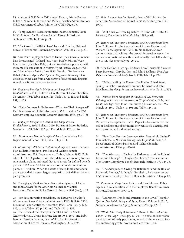15. *Abstract of 1993 Form 5500 Annual Reports*, Private Pension Bulletin Number 6, Pension and Welfare Benefits Administration, U.S. Department of Labor, Winter 1997, Table F1, p. 73.

16. "Employment-Based Retirement Income Benefits," Issue Brief Number 153, Employee Benefit Research Institute, September 1994, Table 26, p. 59.

17. "The Growth of 401(k) Plans," James M. Poterba, National Bureau of Economic Research, September 1993, Table 3.2, p. 31.

18. "Can Your Employees Afford to Direct Their Own Retirement Plan Investments?" Richard Joss, *Wyatt Insider*, Watson Wyatt International, October 1994, p. 8, and two follow-up articles with the same title and author in *Watson Wyatt Insider*, August 1995 and *Watson Wyatt Insider*, June 1996. See also "Performance Debate," Randy Myers, *Plan Sponsor Magazine*, February 1996, which describes data from a wide array of sources including surveys of benefit firms and associations.

19. *Employee Benefits in Medium and Large Private Establishments*, 1993, Bulletin 2456, Bureau of Labor Statistics, November 1994, Table 182, p. 148, Table 187, p. 150, and Table 191, p. 153.

20. "Baby Boomers in Retirement: What Are Their Prospects?" Paul Yakoboski and Celia Silverman in *Retirement in the 21st Century*, Employee Benefits Research Institute, 1994, pp. 37–38.

21. *Employee Benefits in Medium and Large Private Establishments, 1993*, Bulletin 2456, Bureau of Labor Statistics, November 1994, Table 172, p. 145 and Table 176, p. 146.

22. *Pension and Health Benefits of American Workers,* U.S. Department of Labor, 1994, Table D4, p. D-4.

23. *Abstract of 1993 Form 5500 Annual Reports*, Private Pension Plan Bulletin Number 6, Pension and Welfare Benefit Administration, U.S. Department of Labor, Winter 1997, Table A1, p. 4. The Department of Labor data, which are only for private pension plans, indicated that total assets for defined benefit plans in 1993 were \$1.2 trillion and for defined contribution plans, \$1.1 trillion. When the assets of state, local, and federal plans are added, an even larger proportion back defined benefit plan promises.

24. *The Aging of the Baby Boom Generation*, Sylvester Schieber and John Shoven for the American Council for Capital Formation, Center for Policy Research, January 1997 (rev.), p. 17.

25. For data on vesting provisions, see *Employee Benefits in Medium and Large Private Establishments*, 1993, Bulletin 2456, Bureau of Labor Statistics, November 1994, Table 153, p. 128, 182, p. 148, Table 187, p. 150, and Table 191, p. 153. 26. The Needs of the Elderly in the 21st Century, Sheila Zedlewski, et al., Urban Institute Report 90-5, 1990, and Baby Boomer Pension Benefits, Lewin-VHI, Inc. for American Association of Retired Persons, Washington, D.C., 1994.

27. *Baby Boomer Pension Benefits*, Lewin-VHI, Inc. for the American Association of Retired Persons, Washington, D.C., 1994.

28. "Will America Grow Up before It Grows Old?" Peter G. Peterson, *The Atlantic Monthly*, May 1996, p. 67.

29. *Return on Investment: Pensions Are How Americans Save*, John B. Shoven for the Association of Private Pension and Welfare Plans, September 1991. In his analysis, Shoven demonstrates that, without the growth in pension assets, the real value of national wealth would actually have fallen during the 1980s. See especially pp. 26–30.

30. "The Decline in Savings: Evidence from Household Surveys," Barry Bosworth, Gary Burtless, and John Sabelhaus, *Brookings Papers on Economic Activity*, No. 1, 1991, Table 3, p. 199.

31. "Understanding the Postwar Decline in United States Saving: A Cohort Analysis," Laurence Kotlikoff and John Sabelhaus, *Brookings Papers on Economic Activity*, No. 1, p. 338.

32. Derived from *Pamphlet of Analysis of Tax Proposals Relating to Savings and Investments (Capital Gains, IRAs, and Estate and Gift Tax)*, Joint Committee on Taxation, JCS 597, March 18, 1997, Table 4, p. 101 and Table 8, p. 113.

33. *Return on Investment: Pensions Are How Americans Save*, John B. Shoven for the Association of Private Pension and Welfare Plans, September 1991. Pages 30–44 summarize the major findings on substitutions between Social Security, private pensions, and individual savings.

34. "How Does Pension Coverage Affect Household Saving?" John Sabelhaus, *Pensions, Savings and Capital Markets*, U.S. Department of Labor, Pension and Welfare Benefits Administration, 1996, pp. 47–48.

35. "The Adequacy of Saving for Retirement and the Role of Economic Literacy," B. Douglas Bernheim, *Retirement in the 21st Century*, Employee Benefit Research Institute, 1994, p. 75.

36. "The Adequacy of Saving for Retirement and the Role of Economic Literacy," B. Douglas Bernheim, *Retirement in the 21st Century*, Employee Benefit Research Institute, 1994, p. 80.

37. *Promises to Keep*, Steve Farkas and Jean Johnson, Public Agenda in collaboration with the Employee Benefit Research Institute, December 1994, p. 6.

38. "Retirement Trends and Patterns in the 1990s," Joseph F. Quinn, *The Public Policy and Aging Report,* Volume 8, No. 3, National Academy on Aging, Summer 1997, pp. 12–13.

39. "Work After Early Retirement," Diane E. Herz, *Monthly Labor Review*, April 1995, pp. 13–20. The data on labor force participation of early pensioners, as well as the suggested factors motivating greater work effort, are from Herz.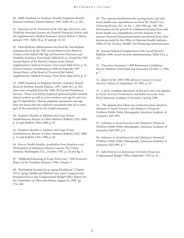40. *EBRI Databook on Employee Benefits*, Employee Benefit Research Institute, Fourth Edition, 1997, Table 36.1, p. 302 .

41. *Summary of the Provisions of the Old-Age, Survivors, and Disability Insurance System, the Hospital Insurance System, and the Supplementary Medical Insurance System*, Robert J. Myers, January 1997, Table 3b, p. 47 and pp. 42–43.

42. Total Medicare disbursements are from the intermediate estimates shown in the *1997 Annual Report of the Board of Trustees of the Federal Old-Age and Survivors Insurance and Disability Insurance Trust Funds*, Table II.D1, p. 30 and the *1997 Annual Report of the Board of Trustees of the Federal Supplementary Medical Insurance Trust Fund*, Table II.D1, p. 26. General revenue contributions to SMI are from the *1997 Annual Report of the Board of Trustees of the Federal Supplementary Medical Insurance Trust Fund*, Table II.D2, p. 27.

43. *EBRI Databook on Employee Benefits, Employee Benefit Research Institute*, Fourth Edition, 1997, Table 36.1, p. 302. Data were compiled from the 1988–96 Current Population Surveys. Those covered by employer-sponsored plans include retired workers as well as active workers over age 65 and overage-65 dependents. Having employer-sponsored coverage does not mean that the employer necessarily pays all or even part of the premiums for the health insurance.

44. *Employee Benefits in Medium and Large Private Establishments*, Bureau of Labor Statistics Bulletin 2262, 1986, p. 25 and Bulletin 2456, 1996, p. 85.

45. *Employee Benefits in Medium and Large Private Establishments*, Bureau of Labor Statistics Bulletin 2262, 1986, p. 33 and Bulletin 2456, 1996, p. 86.

46. *Retiree Health Benefits: Availability from Employers and Participation of Employees*, Pamela Loprest, The Urban Institute, Washington, D.C., October 1997, p. 10 and fig. 4.

47. "Medicaid Financing of Long-Term Care," *1996 Economic Report of the President*, February 1996, Chapter 3.

48. "Retirement Income for an Aging Population," Chapter VII in *Aging, Health and Medical Care*, joint Congressional Research Service and Congressional Budget Office Report for the Committee on Ways and Means, August 25, 1987, pp. 374–408.

49. The separate breakdowns for nursing home care and home health care expenditures are from the *Health Care Financing Review*, Vol. 18, No. 1, Fall 1996, pp. 188–190. Information on the growth in combined nursing home and home health care expenditures and the amount of the increase financed from private funds was derived from tabulations provided by the Office of National Health Statistics, Office of the Actuary, Health Care Financing Administration.

50. Annual Statistical Supplement to the Social Security Bulletin, 1996, Social Security Administration, Table 8.E2, p. 343.

51. "Executive Summary," 1996 Retirement Confidence Survey, Matthew Greenwald and Associates, October 1, 1996, p. 7.

52. *Report of the 1994-1996 Advisory Council on Social Security*, Volume II, September 29, 1995, p. 29.

53. A more complete discussion of the pros and cons appears in *Social Security Privatization: Individual Accounts, Issue Brief*, American Academy of Actuaries, Spring 1996.

54. The options that follow are outlined in more detail in *Solutions to Social Security's and Medicare's Financial Problems*, Public Policy Monograph, American Academy of Actuaries, Fall 1995.

55. *Solutions to Social Security's and Medicare's Financial Problems*, Public Policy Monograph, American Academy of Actuaries, Fall 1995, p. 6.

56. *Solutions to Social Security's and Medicare's Financial Problems*, Public Policy Monograph, American Academy of Actuaries, Fall 1995, p. 7.

57. *Baby Boomers in Retirement: An Early Perspective*, Congressional Budget Office, September 1993, p. 42.